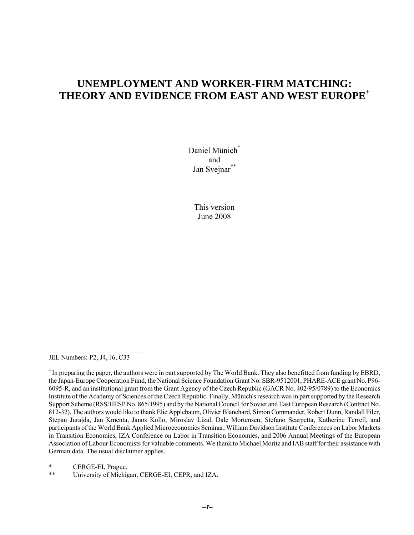# **UNEMPLOYMENT AND WORKER-FIRM MATCHING: THEORY AND EVIDENCE FROM EAST AND WEST EUROPE+**

Daniel Münich<sup>\*</sup> and Jan Svejnar\*\*

> This version June 2008

JEL Numbers: P2, J4, J6, C33

 $\mathcal{L}_\text{max}$  , where  $\mathcal{L}_\text{max}$  , we have the set of  $\mathcal{L}_\text{max}$ 

CERGE-EI, Prague.

\*\* University of Michigan, CERGE-EI, CEPR, and IZA.

<sup>+</sup> In preparing the paper, the authors were in part supported by The World Bank. They also benefitted from funding by EBRD, the Japan-Europe Cooperation Fund, the National Science Foundation Grant No. SBR-9512001, PHARE-ACE grant No. P96- 6095-R, and an institutional grant from the Grant Agency of the Czech Republic (GACR No. 402/95/0789) to the Economics Institute of the Academy of Sciences of the Czech Republic. Finally, Münich's research was in part supported by the Research Support Scheme (RSS/HESP No. 865/1995) and by the National Council for Soviet and East European Research (Contract No. 812-32). The authors would like to thank Elie Applebaum, Olivier Blanchard, Simon Commander, Robert Dunn, Randall Filer, Stepan Jurajda, Jan Kmenta, Janos Köllo, Miroslav Lizal, Dale Mortensen, Stefano Scarpetta, Katherine Terrell, and participants of the World Bank Applied Microeconomics Seminar, William Davidson Institute Conferences on Labor Markets in Transition Economies, IZA Conference on Labor in Transition Economies, and 2006 Annual Meetings of the European Association of Labour Economists for valuable comments. We thank to Michael Moritz and IAB staff for their assistance with German data. The usual disclaimer applies.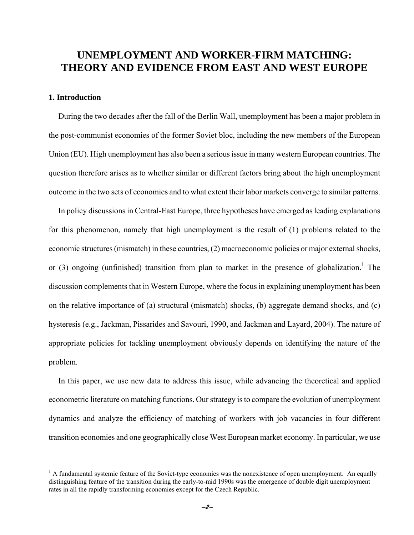# **UNEMPLOYMENT AND WORKER-FIRM MATCHING: THEORY AND EVIDENCE FROM EAST AND WEST EUROPE**

# **1. Introduction**

<u>.</u>

During the two decades after the fall of the Berlin Wall, unemployment has been a major problem in the post-communist economies of the former Soviet bloc, including the new members of the European Union (EU). High unemployment has also been a serious issue in many western European countries. The question therefore arises as to whether similar or different factors bring about the high unemployment outcome in the two sets of economies and to what extent their labor markets converge to similar patterns.

In policy discussions in Central-East Europe, three hypotheses have emerged as leading explanations for this phenomenon, namely that high unemployment is the result of (1) problems related to the economic structures (mismatch) in these countries, (2) macroeconomic policies or major external shocks, or  $(3)$  ongoing (unfinished) transition from plan to market in the presence of globalization.<sup>1</sup> The discussion complements that in Western Europe, where the focus in explaining unemployment has been on the relative importance of (a) structural (mismatch) shocks, (b) aggregate demand shocks, and (c) hysteresis (e.g., Jackman, Pissarides and Savouri, 1990, and Jackman and Layard, 2004). The nature of appropriate policies for tackling unemployment obviously depends on identifying the nature of the problem.

In this paper, we use new data to address this issue, while advancing the theoretical and applied econometric literature on matching functions. Our strategy is to compare the evolution of unemployment dynamics and analyze the efficiency of matching of workers with job vacancies in four different transition economies and one geographically close West European market economy. In particular, we use

 $<sup>1</sup>$  A fundamental systemic feature of the Soviet-type economies was the nonexistence of open unemployment. An equally</sup> distinguishing feature of the transition during the early-to-mid 1990s was the emergence of double digit unemployment rates in all the rapidly transforming economies except for the Czech Republic.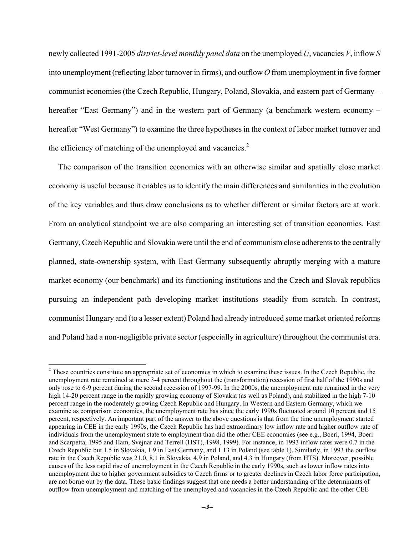newly collected 1991-2005 *district-level monthly panel data* on the unemployed *U*, vacancies *V*, inflow *S*  into unemployment (reflecting labor turnover in firms), and outflow *O* from unemployment in five former communist economies (the Czech Republic, Hungary, Poland, Slovakia, and eastern part of Germany – hereafter "East Germany") and in the western part of Germany (a benchmark western economy – hereafter "West Germany") to examine the three hypotheses in the context of labor market turnover and the efficiency of matching of the unemployed and vacancies. $2$ 

The comparison of the transition economies with an otherwise similar and spatially close market economy is useful because it enables us to identify the main differences and similarities in the evolution of the key variables and thus draw conclusions as to whether different or similar factors are at work. From an analytical standpoint we are also comparing an interesting set of transition economies. East Germany, Czech Republic and Slovakia were until the end of communism close adherents to the centrally planned, state-ownership system, with East Germany subsequently abruptly merging with a mature market economy (our benchmark) and its functioning institutions and the Czech and Slovak republics pursuing an independent path developing market institutions steadily from scratch. In contrast, communist Hungary and (to a lesser extent) Poland had already introduced some market oriented reforms and Poland had a non-negligible private sector (especially in agriculture) throughout the communist era.

 $\overline{a}$ 

 $2^2$  These countries constitute an appropriate set of economies in which to examine these issues. In the Czech Republic, the unemployment rate remained at mere 3-4 percent throughout the (transformation) recession of first half of the 1990s and only rose to 6-9 percent during the second recession of 1997-99. In the 2000s, the unemployment rate remained in the very high 14-20 percent range in the rapidly growing economy of Slovakia (as well as Poland), and stabilized in the high 7-10 percent range in the moderately growing Czech Republic and Hungary. In Western and Eastern Germany, which we examine as comparison economies, the unemployment rate has since the early 1990s fluctuated around 10 percent and 15 percent, respectively. An important part of the answer to the above questions is that from the time unemployment started appearing in CEE in the early 1990s, the Czech Republic has had extraordinary low inflow rate and higher outflow rate of individuals from the unemployment state to employment than did the other CEE economies (see e.g., Boeri, 1994, Boeri and Scarpetta, 1995 and Ham, Svejnar and Terrell (HST), 1998, 1999). For instance, in 1993 inflow rates were 0.7 in the Czech Republic but 1.5 in Slovakia, 1.9 in East Germany, and 1.13 in Poland (see table 1). Similarly, in 1993 the outflow rate in the Czech Republic was 21.0, 8.1 in Slovakia, 4.9 in Poland, and 4.3 in Hungary (from HTS). Moreover, possible causes of the less rapid rise of unemployment in the Czech Republic in the early 1990s, such as lower inflow rates into unemployment due to higher government subsidies to Czech firms or to greater declines in Czech labor force participation, are not borne out by the data. These basic findings suggest that one needs a better understanding of the determinants of outflow from unemployment and matching of the unemployed and vacancies in the Czech Republic and the other CEE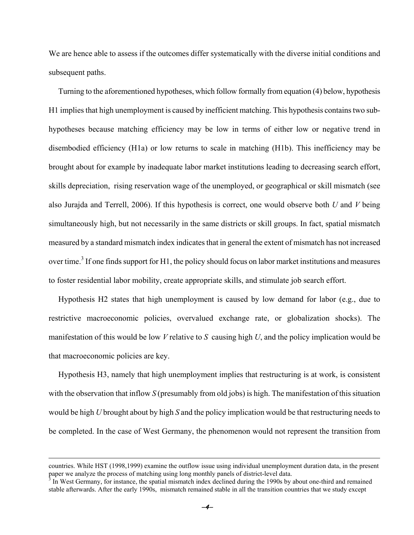We are hence able to assess if the outcomes differ systematically with the diverse initial conditions and subsequent paths.

Turning to the aforementioned hypotheses, which follow formally from equation (4) below, hypothesis H1 implies that high unemployment is caused by inefficient matching. This hypothesis contains two subhypotheses because matching efficiency may be low in terms of either low or negative trend in disembodied efficiency (H1a) or low returns to scale in matching (H1b). This inefficiency may be brought about for example by inadequate labor market institutions leading to decreasing search effort, skills depreciation, rising reservation wage of the unemployed, or geographical or skill mismatch (see also Jurajda and Terrell, 2006). If this hypothesis is correct, one would observe both *U* and *V* being simultaneously high, but not necessarily in the same districts or skill groups. In fact, spatial mismatch measured by a standard mismatch index indicates that in general the extent of mismatch has not increased over time.<sup>3</sup> If one finds support for H1, the policy should focus on labor market institutions and measures to foster residential labor mobility, create appropriate skills, and stimulate job search effort.

Hypothesis H2 states that high unemployment is caused by low demand for labor (e.g., due to restrictive macroeconomic policies, overvalued exchange rate, or globalization shocks). The manifestation of this would be low *V* relative to *S* causing high *U*, and the policy implication would be that macroeconomic policies are key.

Hypothesis H3, namely that high unemployment implies that restructuring is at work, is consistent with the observation that inflow *S* (presumably from old jobs) is high. The manifestation of this situation would be high *U* brought about by high *S* and the policy implication would be that restructuring needs to be completed. In the case of West Germany, the phenomenon would not represent the transition from

countries. While HST (1998,1999) examine the outflow issue using individual unemployment duration data, in the present paper we analyze the process of matching using long monthly panels of district-level data.<br><sup>3</sup> In West Germany, for instance, the spatial mismatch index declined during the 1990s by about one-third and remained

stable afterwards. After the early 1990s, mismatch remained stable in all the transition countries that we study except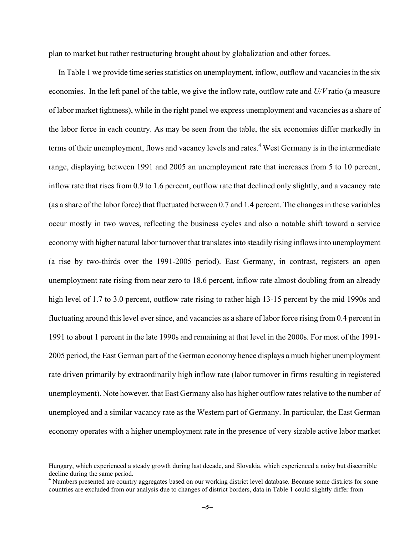plan to market but rather restructuring brought about by globalization and other forces.

In Table 1 we provide time series statistics on unemployment, inflow, outflow and vacancies in the six economies. In the left panel of the table, we give the inflow rate, outflow rate and *U/V* ratio (a measure of labor market tightness), while in the right panel we express unemployment and vacancies as a share of the labor force in each country. As may be seen from the table, the six economies differ markedly in terms of their unemployment, flows and vacancy levels and rates.<sup>4</sup> West Germany is in the intermediate range, displaying between 1991 and 2005 an unemployment rate that increases from 5 to 10 percent, inflow rate that rises from 0.9 to 1.6 percent, outflow rate that declined only slightly, and a vacancy rate (as a share of the labor force) that fluctuated between 0.7 and 1.4 percent. The changes in these variables occur mostly in two waves, reflecting the business cycles and also a notable shift toward a service economy with higher natural labor turnover that translates into steadily rising inflows into unemployment (a rise by two-thirds over the 1991-2005 period). East Germany, in contrast, registers an open unemployment rate rising from near zero to 18.6 percent, inflow rate almost doubling from an already high level of 1.7 to 3.0 percent, outflow rate rising to rather high 13-15 percent by the mid 1990s and fluctuating around this level ever since, and vacancies as a share of labor force rising from 0.4 percent in 1991 to about 1 percent in the late 1990s and remaining at that level in the 2000s. For most of the 1991- 2005 period, the East German part of the German economy hence displays a much higher unemployment rate driven primarily by extraordinarily high inflow rate (labor turnover in firms resulting in registered unemployment). Note however, that East Germany also has higher outflow rates relative to the number of unemployed and a similar vacancy rate as the Western part of Germany. In particular, the East German economy operates with a higher unemployment rate in the presence of very sizable active labor market

Hungary, which experienced a steady growth during last decade, and Slovakia, which experienced a noisy but discernible decline during the same period.

<sup>&</sup>lt;sup>4</sup> Numbers presented are country aggregates based on our working district level database. Because some districts for some countries are excluded from our analysis due to changes of district borders, data in Table 1 could slightly differ from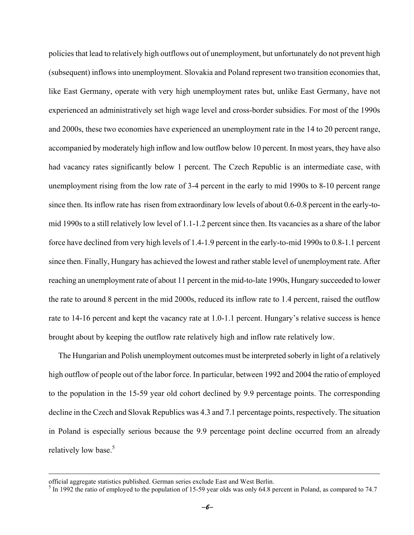policies that lead to relatively high outflows out of unemployment, but unfortunately do not prevent high (subsequent) inflows into unemployment. Slovakia and Poland represent two transition economies that, like East Germany, operate with very high unemployment rates but, unlike East Germany, have not experienced an administratively set high wage level and cross-border subsidies. For most of the 1990s and 2000s, these two economies have experienced an unemployment rate in the 14 to 20 percent range, accompanied by moderately high inflow and low outflow below 10 percent. In most years, they have also had vacancy rates significantly below 1 percent. The Czech Republic is an intermediate case, with unemployment rising from the low rate of 3-4 percent in the early to mid 1990s to 8-10 percent range since then. Its inflow rate has risen from extraordinary low levels of about 0.6-0.8 percent in the early-tomid 1990s to a still relatively low level of 1.1-1.2 percent since then. Its vacancies as a share of the labor force have declined from very high levels of 1.4-1.9 percent in the early-to-mid 1990s to 0.8-1.1 percent since then. Finally, Hungary has achieved the lowest and rather stable level of unemployment rate. After reaching an unemployment rate of about 11 percent in the mid-to-late 1990s, Hungary succeeded to lower the rate to around 8 percent in the mid 2000s, reduced its inflow rate to 1.4 percent, raised the outflow rate to 14-16 percent and kept the vacancy rate at 1.0-1.1 percent. Hungary's relative success is hence brought about by keeping the outflow rate relatively high and inflow rate relatively low.

The Hungarian and Polish unemployment outcomes must be interpreted soberly in light of a relatively high outflow of people out of the labor force. In particular, between 1992 and 2004 the ratio of employed to the population in the 15-59 year old cohort declined by 9.9 percentage points. The corresponding decline in the Czech and Slovak Republics was 4.3 and 7.1 percentage points, respectively. The situation in Poland is especially serious because the 9.9 percentage point decline occurred from an already relatively low base.<sup>5</sup>

official aggregate statistics published. German series exclude East and West Berlin.<br><sup>5</sup> In 1992 the ratio of employed to the population of 15-59 year olds was only 64.8 percent in Poland, as compared to 74.7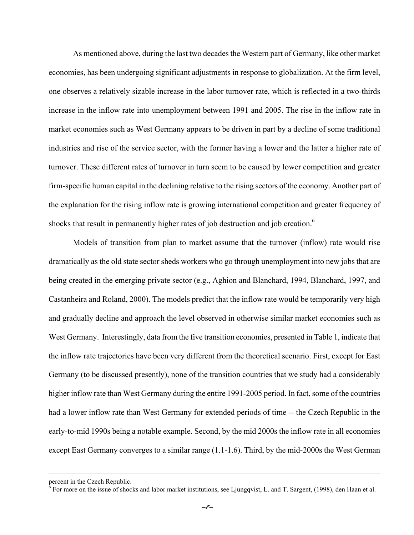As mentioned above, during the last two decades the Western part of Germany, like other market economies, has been undergoing significant adjustments in response to globalization. At the firm level, one observes a relatively sizable increase in the labor turnover rate, which is reflected in a two-thirds increase in the inflow rate into unemployment between 1991 and 2005. The rise in the inflow rate in market economies such as West Germany appears to be driven in part by a decline of some traditional industries and rise of the service sector, with the former having a lower and the latter a higher rate of turnover. These different rates of turnover in turn seem to be caused by lower competition and greater firm-specific human capital in the declining relative to the rising sectors of the economy. Another part of the explanation for the rising inflow rate is growing international competition and greater frequency of shocks that result in permanently higher rates of job destruction and job creation.<sup>6</sup>

Models of transition from plan to market assume that the turnover (inflow) rate would rise dramatically as the old state sector sheds workers who go through unemployment into new jobs that are being created in the emerging private sector (e.g., Aghion and Blanchard, 1994, Blanchard, 1997, and Castanheira and Roland, 2000). The models predict that the inflow rate would be temporarily very high and gradually decline and approach the level observed in otherwise similar market economies such as West Germany. Interestingly, data from the five transition economies, presented in Table 1, indicate that the inflow rate trajectories have been very different from the theoretical scenario. First, except for East Germany (to be discussed presently), none of the transition countries that we study had a considerably higher inflow rate than West Germany during the entire 1991-2005 period. In fact, some of the countries had a lower inflow rate than West Germany for extended periods of time -- the Czech Republic in the early-to-mid 1990s being a notable example. Second, by the mid 2000s the inflow rate in all economies except East Germany converges to a similar range (1.1-1.6). Third, by the mid-2000s the West German

percent in the Czech Republic.<br><sup>6</sup> For more on the issue of shocks and labor market institutions, see Ljungqvist, L. and T. Sargent, (1998), den Haan et al.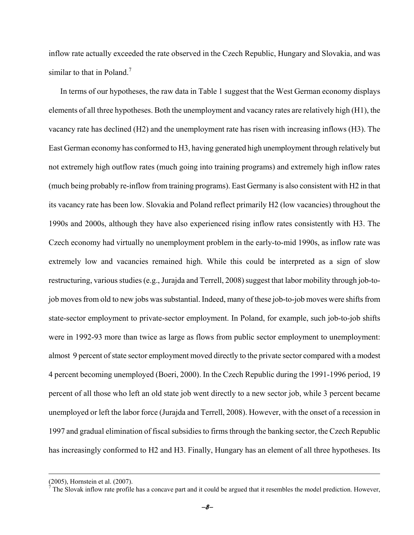inflow rate actually exceeded the rate observed in the Czech Republic, Hungary and Slovakia, and was similar to that in Poland.<sup>7</sup>

 In terms of our hypotheses, the raw data in Table 1 suggest that the West German economy displays elements of all three hypotheses. Both the unemployment and vacancy rates are relatively high (H1), the vacancy rate has declined (H2) and the unemployment rate has risen with increasing inflows (H3). The East German economy has conformed to H3, having generated high unemployment through relatively but not extremely high outflow rates (much going into training programs) and extremely high inflow rates (much being probably re-inflow from training programs). East Germany is also consistent with H2 in that its vacancy rate has been low. Slovakia and Poland reflect primarily H2 (low vacancies) throughout the 1990s and 2000s, although they have also experienced rising inflow rates consistently with H3. The Czech economy had virtually no unemployment problem in the early-to-mid 1990s, as inflow rate was extremely low and vacancies remained high. While this could be interpreted as a sign of slow restructuring, various studies (e.g., Jurajda and Terrell, 2008) suggest that labor mobility through job-tojob moves from old to new jobs was substantial. Indeed, many of these job-to-job moves were shifts from state-sector employment to private-sector employment. In Poland, for example, such job-to-job shifts were in 1992-93 more than twice as large as flows from public sector employment to unemployment: almost 9 percent of state sector employment moved directly to the private sector compared with a modest 4 percent becoming unemployed (Boeri, 2000). In the Czech Republic during the 1991-1996 period, 19 percent of all those who left an old state job went directly to a new sector job, while 3 percent became unemployed or left the labor force (Jurajda and Terrell, 2008). However, with the onset of a recession in 1997 and gradual elimination of fiscal subsidies to firms through the banking sector, the Czech Republic has increasingly conformed to H2 and H3. Finally, Hungary has an element of all three hypotheses. Its

 $(2005)$ , Hornstein et al.  $(2007)$ .<br> $(7)$ The Slovek inflow rete profile

The Slovak inflow rate profile has a concave part and it could be argued that it resembles the model prediction. However,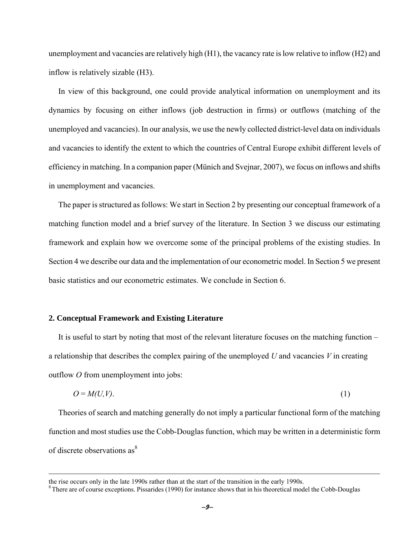unemployment and vacancies are relatively high (H1), the vacancy rate is low relative to inflow (H2) and inflow is relatively sizable (H3).

In view of this background, one could provide analytical information on unemployment and its dynamics by focusing on either inflows (job destruction in firms) or outflows (matching of the unemployed and vacancies). In our analysis, we use the newly collected district-level data on individuals and vacancies to identify the extent to which the countries of Central Europe exhibit different levels of efficiency in matching. In a companion paper (Münich and Svejnar, 2007), we focus on inflows and shifts in unemployment and vacancies.

The paper is structured as follows: We start in Section 2 by presenting our conceptual framework of a matching function model and a brief survey of the literature. In Section 3 we discuss our estimating framework and explain how we overcome some of the principal problems of the existing studies. In Section 4 we describe our data and the implementation of our econometric model. In Section 5 we present basic statistics and our econometric estimates. We conclude in Section 6.

## **2. Conceptual Framework and Existing Literature**

It is useful to start by noting that most of the relevant literature focuses on the matching function – a relationship that describes the complex pairing of the unemployed *U* and vacancies *V* in creating outflow *O* from unemployment into jobs:

$$
O = M(U, V). \tag{1}
$$

Theories of search and matching generally do not imply a particular functional form of the matching function and most studies use the Cobb-Douglas function, which may be written in a deterministic form of discrete observations as<sup>8</sup>

the rise occurs only in the late 1990s rather than at the start of the transition in the early 1990s.<br><sup>8</sup> There are of course exceptions. Pissarides (1990) for instance shows that in his theoretical model the Cobb-Douglas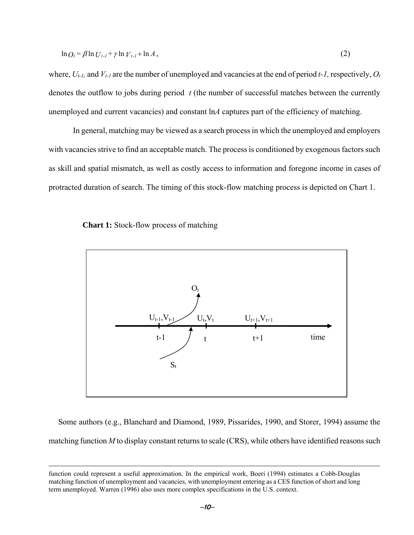$$
\ln O_t = \beta \ln U_{t-1} + \gamma \ln V_{t-1} + \ln A, \tag{2}
$$

where,  $U_{t-1}$ , and  $V_{t-1}$  are the number of unemployed and vacancies at the end of period  $t-1$ , respectively,  $O_t$ denotes the outflow to jobs during period *t* (the number of successful matches between the currently unemployed and current vacancies) and constant ln*A* captures part of the efficiency of matching.

In general, matching may be viewed as a search process in which the unemployed and employers with vacancies strive to find an acceptable match. The process is conditioned by exogenous factors such as skill and spatial mismatch, as well as costly access to information and foregone income in cases of protracted duration of search. The timing of this stock-flow matching process is depicted on Chart 1.



<u>.</u>



Some authors (e.g., Blanchard and Diamond, 1989, Pissarides, 1990, and Storer, 1994) assume the matching function *M* to display constant returns to scale (CRS), while others have identified reasons such

<sup>−</sup>10<sup>−</sup>

function could represent a useful approximation. In the empirical work, Boeri (1994) estimates a Cobb-Douglas matching function of unemployment and vacancies, with unemployment entering as a CES function of short and long term unemployed. Warren (1996) also uses more complex specifications in the U.S. context.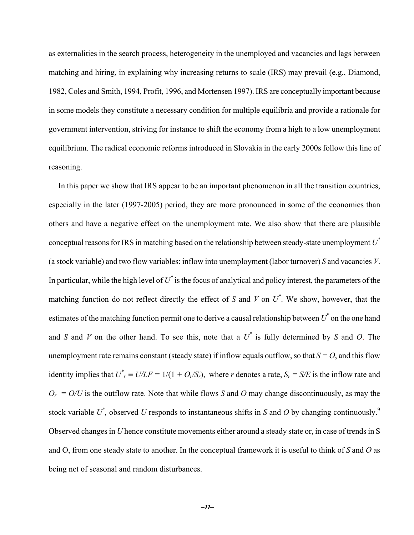as externalities in the search process, heterogeneity in the unemployed and vacancies and lags between matching and hiring, in explaining why increasing returns to scale (IRS) may prevail (e.g., Diamond, 1982, Coles and Smith, 1994, Profit, 1996, and Mortensen 1997). IRS are conceptually important because in some models they constitute a necessary condition for multiple equilibria and provide a rationale for government intervention, striving for instance to shift the economy from a high to a low unemployment equilibrium. The radical economic reforms introduced in Slovakia in the early 2000s follow this line of reasoning.

In this paper we show that IRS appear to be an important phenomenon in all the transition countries, especially in the later (1997-2005) period, they are more pronounced in some of the economies than others and have a negative effect on the unemployment rate. We also show that there are plausible conceptual reasons for IRS in matching based on the relationship between steady-state unemployment *U\** (a stock variable) and two flow variables: inflow into unemployment (labor turnover) *S* and vacancies *V*. In particular, while the high level of  $U^*$  is the focus of analytical and policy interest, the parameters of the matching function do not reflect directly the effect of *S* and *V* on  $U^*$ . We show, however, that the estimates of the matching function permit one to derive a causal relationship between  $U^*$  on the one hand and *S* and *V* on the other hand. To see this, note that a *U\** is fully determined by *S* and *O*. The unemployment rate remains constant (steady state) if inflow equals outflow, so that  $S = O$ , and this flow identity implies that  $U^*$ <sub>r</sub>  $\equiv U/LF = 1/(1 + O_r/S_r)$ , where *r* denotes a rate,  $S_r = S/E$  is the inflow rate and  $O_r = O/U$  is the outflow rate. Note that while flows *S* and *O* may change discontinuously, as may the stock variable  $U^*$ , observed U responds to instantaneous shifts in *S* and O by changing continuously.<sup>9</sup> Observed changes in *U* hence constitute movements either around a steady state or, in case of trends in S and O, from one steady state to another. In the conceptual framework it is useful to think of *S* and *O* as being net of seasonal and random disturbances.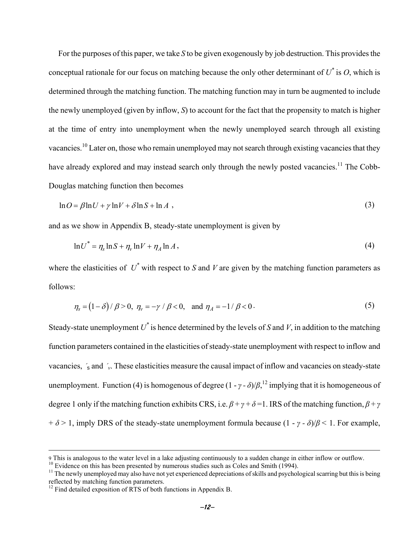For the purposes of this paper, we take *S* to be given exogenously by job destruction. This provides the conceptual rationale for our focus on matching because the only other determinant of  $U^*$  is  $O$ , which is determined through the matching function. The matching function may in turn be augmented to include the newly unemployed (given by inflow, *S*) to account for the fact that the propensity to match is higher at the time of entry into unemployment when the newly unemployed search through all existing vacancies.<sup>10</sup> Later on, those who remain unemployed may not search through existing vacancies that they have already explored and may instead search only through the newly posted vacancies.<sup>11</sup> The Cobb-Douglas matching function then becomes

$$
\ln O = \beta \ln U + \gamma \ln V + \delta \ln S + \ln A \tag{3}
$$

and as we show in Appendix B, steady-state unemployment is given by

$$
\ln U^* = \eta_s \ln S + \eta_v \ln V + \eta_A \ln A, \qquad (4)
$$

where the elasticities of  $U^*$  with respect to *S* and *V* are given by the matching function parameters as follows:

$$
\eta_s = (1 - \delta) / \beta > 0, \ \eta_v = -\gamma / \beta < 0, \ \text{and} \ \eta_A = -1 / \beta < 0. \tag{5}
$$

Steady-state unemployment  $U^*$  is hence determined by the levels of *S* and *V*, in addition to the matching function parameters contained in the elasticities of steady-state unemployment with respect to inflow and vacancies, ´<sup>s</sup> and ´*v*. These elasticities measure the causal impact of inflow and vacancies on steady-state unemployment. Function (4) is homogenous of degree  $(1 - \gamma - \delta)/\beta$ , <sup>12</sup> implying that it is homogeneous of degree 1 only if the matching function exhibits CRS, i.e.  $\beta + \gamma + \delta = 1$ . IRS of the matching function,  $\beta + \gamma$  $+ \delta > 1$ , imply DRS of the steady-state unemployment formula because  $(1 - \gamma - \delta)/\beta < 1$ . For example,

 $\overline{a}$ 

<sup>9</sup> This is analogous to the water level in a lake adjusting continuously to a sudden change in either inflow or outflow.<br><sup>10</sup> Evidence on this has been presented by numerous studies such as Coles and Smith (1994).<br><sup>11</sup> The

reflected by matching function parameters.

 $12$  Find detailed exposition of RTS of both functions in Appendix B.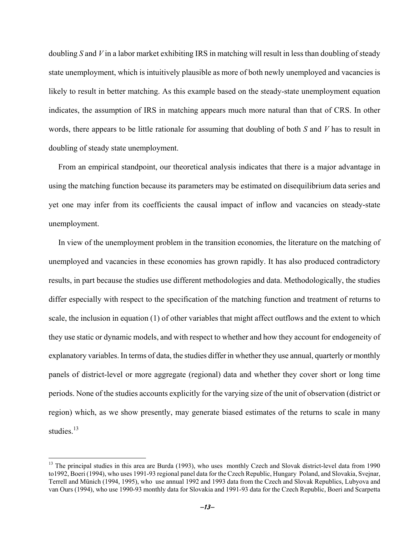doubling *S* and *V* in a labor market exhibiting IRS in matching will result in less than doubling of steady state unemployment, which is intuitively plausible as more of both newly unemployed and vacancies is likely to result in better matching. As this example based on the steady-state unemployment equation indicates, the assumption of IRS in matching appears much more natural than that of CRS. In other words, there appears to be little rationale for assuming that doubling of both *S* and *V* has to result in doubling of steady state unemployment.

From an empirical standpoint, our theoretical analysis indicates that there is a major advantage in using the matching function because its parameters may be estimated on disequilibrium data series and yet one may infer from its coefficients the causal impact of inflow and vacancies on steady-state unemployment.

In view of the unemployment problem in the transition economies, the literature on the matching of unemployed and vacancies in these economies has grown rapidly. It has also produced contradictory results, in part because the studies use different methodologies and data. Methodologically, the studies differ especially with respect to the specification of the matching function and treatment of returns to scale, the inclusion in equation (1) of other variables that might affect outflows and the extent to which they use static or dynamic models, and with respect to whether and how they account for endogeneity of explanatory variables. In terms of data, the studies differ in whether they use annual, quarterly or monthly panels of district-level or more aggregate (regional) data and whether they cover short or long time periods. None of the studies accounts explicitly for the varying size of the unit of observation (district or region) which, as we show presently, may generate biased estimates of the returns to scale in many studies.<sup>13</sup>

 $\overline{a}$ 

<sup>&</sup>lt;sup>13</sup> The principal studies in this area are Burda (1993), who uses monthly Czech and Slovak district-level data from 1990 to1992, Boeri (1994), who uses 1991-93 regional panel data for the Czech Republic, Hungary Poland, and Slovakia, Svejnar, Terrell and Münich (1994, 1995), who use annual 1992 and 1993 data from the Czech and Slovak Republics, Lubyova and van Ours (1994), who use 1990-93 monthly data for Slovakia and 1991-93 data for the Czech Republic, Boeri and Scarpetta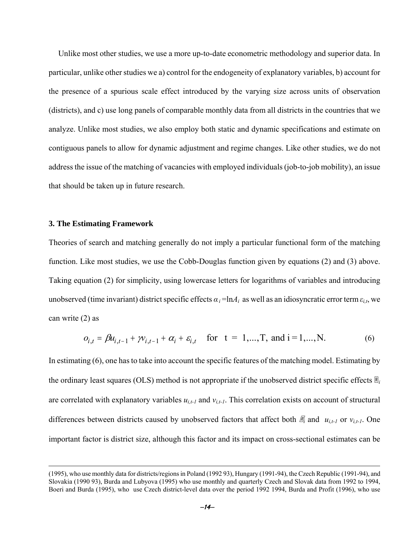Unlike most other studies, we use a more up-to-date econometric methodology and superior data. In particular, unlike other studies we a) control for the endogeneity of explanatory variables, b) account for the presence of a spurious scale effect introduced by the varying size across units of observation (districts), and c) use long panels of comparable monthly data from all districts in the countries that we analyze. Unlike most studies, we also employ both static and dynamic specifications and estimate on contiguous panels to allow for dynamic adjustment and regime changes. Like other studies, we do not address the issue of the matching of vacancies with employed individuals (job-to-job mobility), an issue that should be taken up in future research.

# **3. The Estimating Framework**

<u>.</u>

Theories of search and matching generally do not imply a particular functional form of the matching function. Like most studies, we use the Cobb-Douglas function given by equations (2) and (3) above. Taking equation (2) for simplicity, using lowercase letters for logarithms of variables and introducing unobserved (time invariant) district specific effects  $\alpha_i = \ln A_i$  as well as an idiosyncratic error term  $\varepsilon_{i,t}$ , we can write (2) as

$$
o_{i,t} = \beta u_{i,t-1} + \gamma v_{i,t-1} + \alpha_i + \varepsilon_{i,t} \quad \text{for } t = 1,...,T, \text{ and } i = 1,...,N. \tag{6}
$$

In estimating (6), one has to take into account the specific features of the matching model. Estimating by the ordinary least squares (OLS) method is not appropriate if the unobserved district specific effects  $\mathbb{E}_i$ are correlated with explanatory variables  $u_{i,t-1}$  and  $v_{i,t-1}$ . This correlation exists on account of structural differences between districts caused by unobserved factors that affect both  $\mathbb{Z}_i$  and  $u_{i,t-1}$  or  $v_{i,t-1}$ . One important factor is district size, although this factor and its impact on cross-sectional estimates can be

<sup>(1995),</sup> who use monthly data for districts/regions in Poland (1992 93), Hungary (1991-94), the Czech Republic (1991-94), and Slovakia (1990 93), Burda and Lubyova (1995) who use monthly and quarterly Czech and Slovak data from 1992 to 1994, Boeri and Burda (1995), who use Czech district-level data over the period 1992 1994, Burda and Profit (1996), who use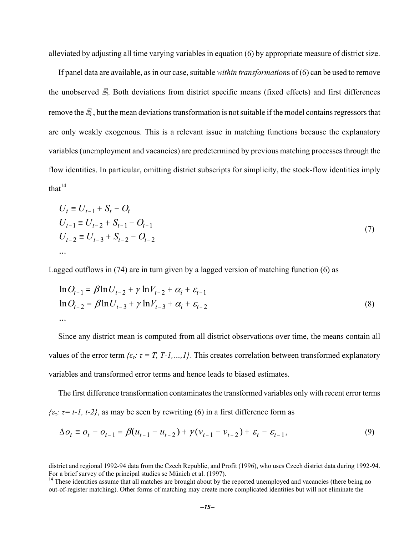alleviated by adjusting all time varying variables in equation (6) by appropriate measure of district size.

If panel data are available, as in our case, suitable *within transformation*s of (6) can be used to remove the unobserved  $\mathbb{Z}_i$ . Both deviations from district specific means (fixed effects) and first differences remove the  $\mathbb{F}_i$ , but the mean deviations transformation is not suitable if the model contains regressors that are only weakly exogenous. This is a relevant issue in matching functions because the explanatory variables (unemployment and vacancies) are predetermined by previous matching processes through the flow identities. In particular, omitting district subscripts for simplicity, the stock-flow identities imply that $14$ 

$$
U_t \equiv U_{t-1} + S_t - O_t
$$
  
\n
$$
U_{t-1} \equiv U_{t-2} + S_{t-1} - O_{t-1}
$$
  
\n
$$
U_{t-2} \equiv U_{t-3} + S_{t-2} - O_{t-2}
$$
\n...\n(7)

Lagged outflows in (74) are in turn given by a lagged version of matching function (6) as

$$
\ln O_{t-1} = \beta \ln U_{t-2} + \gamma \ln V_{t-2} + \alpha_i + \varepsilon_{t-1}
$$
  
\n
$$
\ln O_{t-2} = \beta \ln U_{t-3} + \gamma \ln V_{t-3} + \alpha_i + \varepsilon_{t-2}
$$
  
\n... (8)

Since any district mean is computed from all district observations over time, the means contain all values of the error term  $\{ \varepsilon_r : \tau = T, T - 1, ..., 1 \}$ . This creates correlation between transformed explanatory variables and transformed error terms and hence leads to biased estimates.

The first difference transformation contaminates the transformed variables only with recent error terms  $\{\varepsilon_t: \tau = t-1, t-2\}$ , as may be seen by rewriting (6) in a first difference form as

$$
\Delta o_t = o_t - o_{t-1} = \beta (u_{t-1} - u_{t-2}) + \gamma (v_{t-1} - v_{t-2}) + \varepsilon_t - \varepsilon_{t-1},
$$
\n(9)

 $\overline{a}$ 

district and regional 1992-94 data from the Czech Republic, and Profit (1996), who uses Czech district data during 1992-94.<br>For a brief survey of the principal studies se Münich et al. (1997).

 $<sup>14</sup>$  These identities assume that all matches are brought about by the reported unemployed and vacancies (there being no</sup> out-of-register matching). Other forms of matching may create more complicated identities but will not eliminate the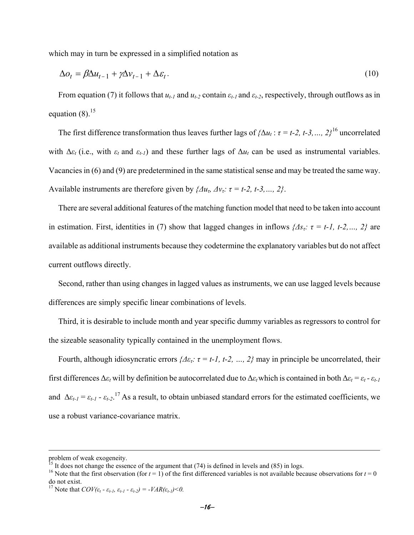which may in turn be expressed in a simplified notation as

$$
\Delta o_t = \beta \Delta u_{t-1} + \gamma \Delta v_{t-1} + \Delta \varepsilon_t. \tag{10}
$$

From equation (7) it follows that  $u_{t-1}$  and  $u_{t-2}$  contain  $\varepsilon_{t-1}$  and  $\varepsilon_{t-2}$ , respectively, through outflows as in equation  $(8)$ <sup>15</sup>

The first difference transformation thus leaves further lags of  $\{\Delta u_t : \tau = t-2, t-3, \ldots, 2\}^{16}$  uncorrelated with  $\Delta \varepsilon_t$  (i.e., with  $\varepsilon_t$  and  $\varepsilon_{t-1}$ ) and these further lags of  $\Delta u_t$  can be used as instrumental variables. Vacancies in (6) and (9) are predetermined in the same statistical sense and may be treated the same way. Available instruments are therefore given by  $\{ \Delta u_r, \Delta v_r : \tau = t-2, t-3, \ldots, 2 \}.$ 

There are several additional features of the matching function model that need to be taken into account in estimation. First, identities in (7) show that lagged changes in inflows  $\{As_t: \tau = t-1, t-2, \ldots, 2\}$  are available as additional instruments because they codetermine the explanatory variables but do not affect current outflows directly.

Second, rather than using changes in lagged values as instruments, we can use lagged levels because differences are simply specific linear combinations of levels.

Third, it is desirable to include month and year specific dummy variables as regressors to control for the sizeable seasonality typically contained in the unemployment flows.

Fourth, although idiosyncratic errors  $\{\Delta \varepsilon_t: \tau = t-1, t-2, ..., 2\}$  may in principle be uncorrelated, their first differences  $\Delta \varepsilon_t$  will by definition be autocorrelated due to  $\Delta \varepsilon_t$  which is contained in both  $\Delta \varepsilon_t = \varepsilon_t - \varepsilon_{t-1}$ and  $\Delta \varepsilon_{t-1} = \varepsilon_{t-1} - \varepsilon_{t-2}$ <sup>17</sup> As a result, to obtain unbiased standard errors for the estimated coefficients, we use a robust variance-covariance matrix.

 $\overline{a}$ 

problem of weak exogeneity.<br><sup>15</sup> It does not change the essence of the argument that (74) is defined in levels and (85) in logs.

<sup>&</sup>lt;sup>16</sup> Note that the first observation (for  $t = 1$ ) of the first differenced variables is not available because observations for  $t = 0$ do not exist.

<sup>&</sup>lt;sup>17</sup> Note that  $COV(\varepsilon_t - \varepsilon_{t-1}, \varepsilon_{t-1} - \varepsilon_{t-2}) = -VAR(\varepsilon_{t-1}) < 0$ .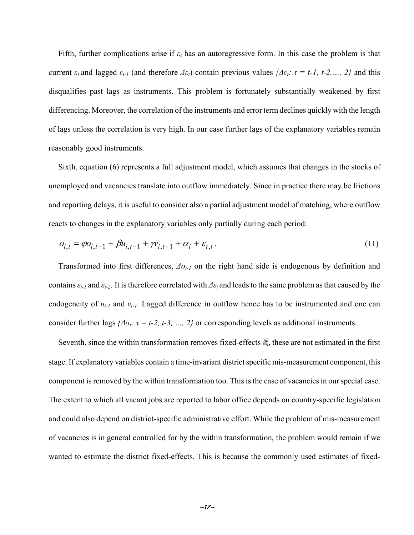Fifth, further complications arise if *εt* has an autoregressive form. In this case the problem is that current  $\varepsilon_t$  and lagged  $\varepsilon_{t-1}$  (and therefore  $\Delta \varepsilon_t$ ) contain previous values  $\{\Delta \varepsilon_t : \tau = t-1, t-2, \ldots, 2\}$  and this disqualifies past lags as instruments. This problem is fortunately substantially weakened by first differencing. Moreover, the correlation of the instruments and error term declines quickly with the length of lags unless the correlation is very high. In our case further lags of the explanatory variables remain reasonably good instruments.

Sixth, equation (6) represents a full adjustment model, which assumes that changes in the stocks of unemployed and vacancies translate into outflow immediately. Since in practice there may be frictions and reporting delays, it is useful to consider also a partial adjustment model of matching, where outflow reacts to changes in the explanatory variables only partially during each period:

$$
o_{i,t} = \varphi o_{i,t-1} + \beta u_{i,t-1} + \gamma v_{i,t-1} + \alpha_i + \varepsilon_{t,t}.
$$
\n(11)

Transformed into first differences, *Δot-1* on the right hand side is endogenous by definition and contains  $\varepsilon$ <sub>*t-1*</sub> and  $\varepsilon$ <sub>*t-2*</sub>. It is therefore correlated with  $\Delta \varepsilon$ <sub>*t*</sub> and leads to the same problem as that caused by the endogeneity of  $u_{t-1}$  and  $v_{t-1}$ . Lagged difference in outflow hence has to be instrumented and one can consider further lags  ${A_0: \tau = t-2, t-3, ..., 2}$  or corresponding levels as additional instruments.

Seventh, since the within transformation removes fixed-effects  $\mathbb{Z}_i$ , these are not estimated in the first stage. If explanatory variables contain a time-invariant district specific mis-measurement component, this component is removed by the within transformation too. This is the case of vacancies in our special case. The extent to which all vacant jobs are reported to labor office depends on country-specific legislation and could also depend on district-specific administrative effort. While the problem of mis-measurement of vacancies is in general controlled for by the within transformation, the problem would remain if we wanted to estimate the district fixed-effects. This is because the commonly used estimates of fixed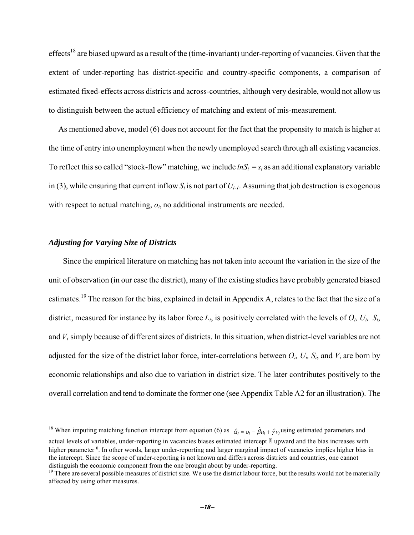effects<sup>18</sup> are biased upward as a result of the (time-invariant) under-reporting of vacancies. Given that the extent of under-reporting has district-specific and country-specific components, a comparison of estimated fixed-effects across districts and across-countries, although very desirable, would not allow us to distinguish between the actual efficiency of matching and extent of mis-measurement.

As mentioned above, model (6) does not account for the fact that the propensity to match is higher at the time of entry into unemployment when the newly unemployed search through all existing vacancies. To reflect this so called "stock-flow" matching, we include  $lnS_t = s_t$  as an additional explanatory variable in (3), while ensuring that current inflow  $S_t$  is not part of  $U_{t-1}$ . Assuming that job destruction is exogenous with respect to actual matching,  $o_t$ , no additional instruments are needed.

# *Adjusting for Varying Size of Districts*

1

Since the empirical literature on matching has not taken into account the variation in the size of the unit of observation (in our case the district), many of the existing studies have probably generated biased estimates.19 The reason for the bias, explained in detail in Appendix A, relates to the fact that the size of a district, measured for instance by its labor force  $L_i$ , is positively correlated with the levels of  $O_i$ ,  $U_i$ ,  $S_i$ , and *Vi* simply because of different sizes of districts. In this situation, when district-level variables are not adjusted for the size of the district labor force, inter-correlations between  $O_i$ ,  $U_i$ ,  $S_i$ , and  $V_i$  are born by economic relationships and also due to variation in district size. The later contributes positively to the overall correlation and tend to dominate the former one (see Appendix Table A2 for an illustration). The

<sup>&</sup>lt;sup>18</sup> When imputing matching function intercept from equation (6) as  $\hat{a}_i = \overline{\partial}_i - \hat{\beta} \overline{u}_i + \hat{\gamma} \overline{v}_i$  using estimated parameters and actual levels of variables, under-reporting in vacancies biases estimated intercept ® upward and the bias increases with higher parameter <sup>0</sup>. In other words, larger under-reporting and larger marginal impact of vacancies implies higher bias in the intercept. Since the scope of under-reporting is not known and differs across districts and countries, one cannot distinguish the economic component from the one brought about by under-reporting.

<sup>&</sup>lt;sup>19</sup> There are several possible measures of district size. We use the district labour force, but the results would not be materially affected by using other measures.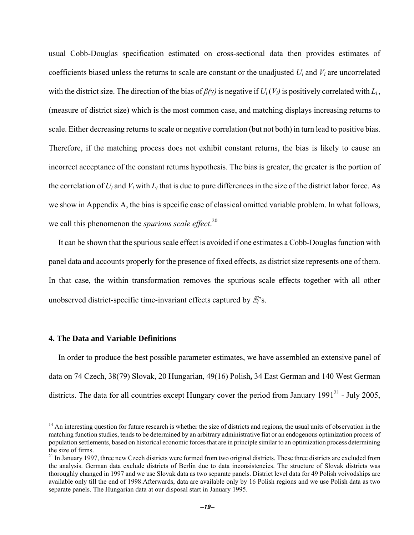usual Cobb-Douglas specification estimated on cross-sectional data then provides estimates of coefficients biased unless the returns to scale are constant or the unadjusted *Ui* and *Vi* are uncorrelated with the district size. The direction of the bias of  $\beta(\gamma)$  is negative if  $U_i(V_i)$  is positively correlated with  $L_i$ , (measure of district size) which is the most common case, and matching displays increasing returns to scale. Either decreasing returns to scale or negative correlation (but not both) in turn lead to positive bias. Therefore, if the matching process does not exhibit constant returns, the bias is likely to cause an incorrect acceptance of the constant returns hypothesis. The bias is greater, the greater is the portion of the correlation of  $U_i$  and  $V_i$  with  $L_i$  that is due to pure differences in the size of the district labor force. As we show in Appendix A, the bias is specific case of classical omitted variable problem. In what follows, we call this phenomenon the *spurious scale effect*. 20

It can be shown that the spurious scale effect is avoided if one estimates a Cobb-Douglas function with panel data and accounts properly for the presence of fixed effects, as district size represents one of them. In that case, the within transformation removes the spurious scale effects together with all other unobserved district-specific time-invariant effects captured by  $\mathbb{R}$ 's.

# **4. The Data and Variable Definitions**

1

In order to produce the best possible parameter estimates, we have assembled an extensive panel of data on 74 Czech, 38(79) Slovak, 20 Hungarian, 49(16) Polish**,** 34 East German and 140 West German districts. The data for all countries except Hungary cover the period from January  $1991^{21}$  - July 2005,

<sup>&</sup>lt;sup>14</sup> An interesting question for future research is whether the size of districts and regions, the usual units of observation in the matching function studies, tends to be determined by an arbitrary administrative fiat or an endogenous optimization process of population settlements, based on historical economic forces that are in principle similar to an optimization process determining the size of firms.

<sup>&</sup>lt;sup>21</sup> In January 1997, three new Czech districts were formed from two original districts. These three districts are excluded from the analysis. German data exclude districts of Berlin due to data inconsistencies. The structure of Slovak districts was thoroughly changed in 1997 and we use Slovak data as two separate panels. District level data for 49 Polish voivodships are available only till the end of 1998.Afterwards, data are available only by 16 Polish regions and we use Polish data as two separate panels. The Hungarian data at our disposal start in January 1995.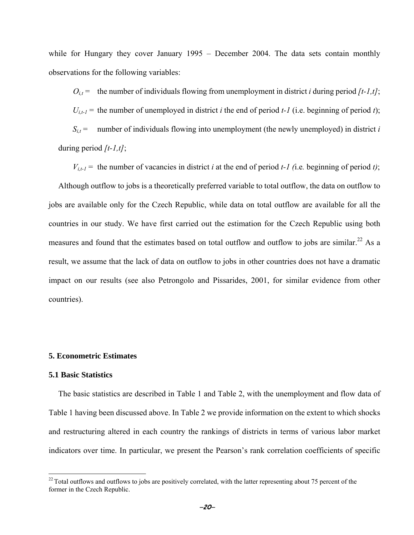while for Hungary they cover January 1995 – December 2004. The data sets contain monthly observations for the following variables:

 $O_{i,t}$  = the number of individuals flowing from unemployment in district *i* during period  $[t-1,t]$ ;

 $U_{i,t-1}$  = the number of unemployed in district *i* the end of period *t*-*I* (i.e. beginning of period *t*);

 $S_{i,t}$  = number of individuals flowing into unemployment (the newly unemployed) in district *i* during period *[t-1,t]*;

 $V_{i,t-1}$  = the number of vacancies in district *i* at the end of period *t*-1 (i.e. beginning of period *t*);

Although outflow to jobs is a theoretically preferred variable to total outflow, the data on outflow to jobs are available only for the Czech Republic, while data on total outflow are available for all the countries in our study. We have first carried out the estimation for the Czech Republic using both measures and found that the estimates based on total outflow and outflow to jobs are similar.<sup>22</sup> As a result, we assume that the lack of data on outflow to jobs in other countries does not have a dramatic impact on our results (see also Petrongolo and Pissarides, 2001, for similar evidence from other countries).

## **5. Econometric Estimates**

## **5.1 Basic Statistics**

 $\overline{a}$ 

The basic statistics are described in Table 1 and Table 2, with the unemployment and flow data of Table 1 having been discussed above. In Table 2 we provide information on the extent to which shocks and restructuring altered in each country the rankings of districts in terms of various labor market indicators over time. In particular, we present the Pearson's rank correlation coefficients of specific

 $^{22}$  Total outflows and outflows to jobs are positively correlated, with the latter representing about 75 percent of the former in the Czech Republic.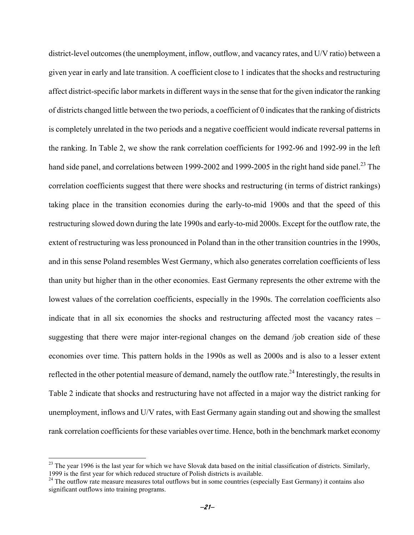district-level outcomes (the unemployment, inflow, outflow, and vacancy rates, and U/V ratio) between a given year in early and late transition. A coefficient close to 1 indicates that the shocks and restructuring affect district-specific labor markets in different ways in the sense that for the given indicator the ranking of districts changed little between the two periods, a coefficient of 0 indicates that the ranking of districts is completely unrelated in the two periods and a negative coefficient would indicate reversal patterns in the ranking. In Table 2, we show the rank correlation coefficients for 1992-96 and 1992-99 in the left hand side panel, and correlations between 1999-2002 and 1999-2005 in the right hand side panel.<sup>23</sup> The correlation coefficients suggest that there were shocks and restructuring (in terms of district rankings) taking place in the transition economies during the early-to-mid 1900s and that the speed of this restructuring slowed down during the late 1990s and early-to-mid 2000s. Except for the outflow rate, the extent of restructuring was less pronounced in Poland than in the other transition countries in the 1990s, and in this sense Poland resembles West Germany, which also generates correlation coefficients of less than unity but higher than in the other economies. East Germany represents the other extreme with the lowest values of the correlation coefficients, especially in the 1990s. The correlation coefficients also indicate that in all six economies the shocks and restructuring affected most the vacancy rates – suggesting that there were major inter-regional changes on the demand /job creation side of these economies over time. This pattern holds in the 1990s as well as 2000s and is also to a lesser extent reflected in the other potential measure of demand, namely the outflow rate.<sup>24</sup> Interestingly, the results in Table 2 indicate that shocks and restructuring have not affected in a major way the district ranking for unemployment, inflows and U/V rates, with East Germany again standing out and showing the smallest rank correlation coefficients for these variables over time. Hence, both in the benchmark market economy

 $\overline{a}$ 

 $23$  The year 1996 is the last year for which we have Slovak data based on the initial classification of districts. Similarly, 1999 is the first year for which reduced structure of Polish districts is available.

 $24$  The outflow rate measure measures total outflows but in some countries (especially East Germany) it contains also significant outflows into training programs.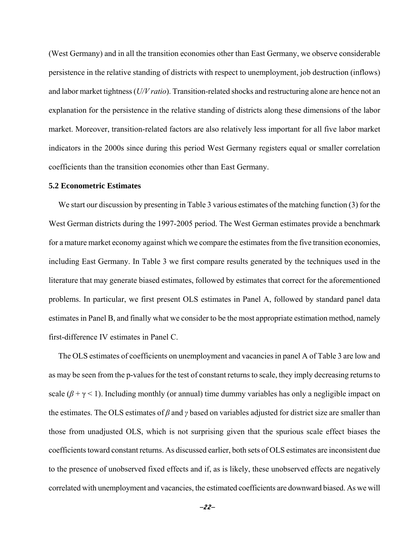(West Germany) and in all the transition economies other than East Germany, we observe considerable persistence in the relative standing of districts with respect to unemployment, job destruction (inflows) and labor market tightness (*U/V ratio*). Transition-related shocks and restructuring alone are hence not an explanation for the persistence in the relative standing of districts along these dimensions of the labor market. Moreover, transition-related factors are also relatively less important for all five labor market indicators in the 2000s since during this period West Germany registers equal or smaller correlation coefficients than the transition economies other than East Germany.

## **5.2 Econometric Estimates**

We start our discussion by presenting in Table 3 various estimates of the matching function (3) for the West German districts during the 1997-2005 period. The West German estimates provide a benchmark for a mature market economy against which we compare the estimates from the five transition economies, including East Germany. In Table 3 we first compare results generated by the techniques used in the literature that may generate biased estimates, followed by estimates that correct for the aforementioned problems. In particular, we first present OLS estimates in Panel A, followed by standard panel data estimates in Panel B, and finally what we consider to be the most appropriate estimation method, namely first-difference IV estimates in Panel C.

The OLS estimates of coefficients on unemployment and vacancies in panel A of Table 3 are low and as may be seen from the p-values for the test of constant returns to scale, they imply decreasing returns to scale  $(\beta + \gamma < 1)$ . Including monthly (or annual) time dummy variables has only a negligible impact on the estimates. The OLS estimates of *β* and *γ* based on variables adjusted for district size are smaller than those from unadjusted OLS, which is not surprising given that the spurious scale effect biases the coefficients toward constant returns. As discussed earlier, both sets of OLS estimates are inconsistent due to the presence of unobserved fixed effects and if, as is likely, these unobserved effects are negatively correlated with unemployment and vacancies, the estimated coefficients are downward biased. As we will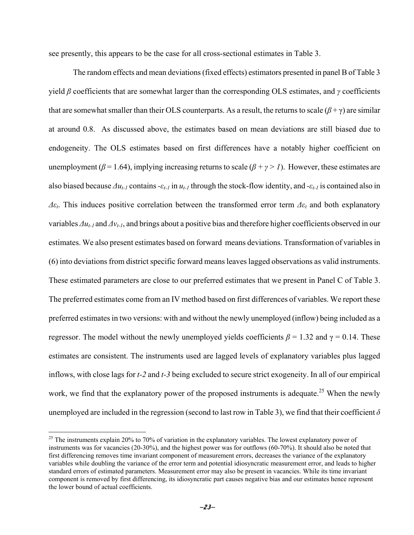see presently, this appears to be the case for all cross-sectional estimates in Table 3.

 The random effects and mean deviations (fixed effects) estimators presented in panel B of Table 3 yield *β* coefficients that are somewhat larger than the corresponding OLS estimates, and *γ* coefficients that are somewhat smaller than their OLS counterparts. As a result, the returns to scale ( $\beta + \gamma$ ) are similar at around 0.8. As discussed above, the estimates based on mean deviations are still biased due to endogeneity. The OLS estimates based on first differences have a notably higher coefficient on unemployment ( $\beta$  = 1.64), implying increasing returns to scale ( $\beta$  +  $\gamma$  > 1). However, these estimates are also biased because  $\Delta u_{t-1}$  contains  $-\varepsilon_{t-1}$  in  $u_{t-1}$  through the stock-flow identity, and  $-\varepsilon_{t-1}$  is contained also in *Δεt*. This induces positive correlation between the transformed error term *Δεt* and both explanatory variables *Δut-1* and *Δvt-1*, and brings about a positive bias and therefore higher coefficients observed in our estimates. We also present estimates based on forward means deviations. Transformation of variables in (6) into deviations from district specific forward means leaves lagged observations as valid instruments. These estimated parameters are close to our preferred estimates that we present in Panel C of Table 3. The preferred estimates come from an IV method based on first differences of variables. We report these preferred estimates in two versions: with and without the newly unemployed (inflow) being included as a regressor. The model without the newly unemployed yields coefficients  $β = 1.32$  and  $γ = 0.14$ . These estimates are consistent. The instruments used are lagged levels of explanatory variables plus lagged inflows, with close lags for *t-2* and *t-3* being excluded to secure strict exogeneity. In all of our empirical work, we find that the explanatory power of the proposed instruments is adequate.<sup>25</sup> When the newly unemployed are included in the regression (second to last row in Table 3), we find that their coefficient  $\delta$ 

1

<sup>&</sup>lt;sup>25</sup> The instruments explain 20% to 70% of variation in the explanatory variables. The lowest explanatory power of instruments was for vacancies (20-30%), and the highest power was for outflows (60-70%). It should also be noted that first differencing removes time invariant component of measurement errors, decreases the variance of the explanatory variables while doubling the variance of the error term and potential idiosyncratic measurement error, and leads to higher standard errors of estimated parameters. Measurement error may also be present in vacancies. While its time invariant component is removed by first differencing, its idiosyncratic part causes negative bias and our estimates hence represent the lower bound of actual coefficients.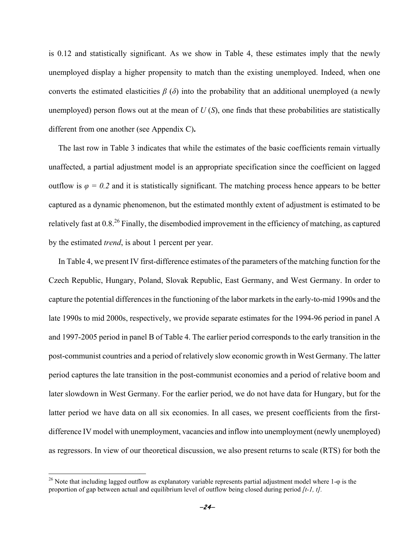is 0.12 and statistically significant. As we show in Table 4, these estimates imply that the newly unemployed display a higher propensity to match than the existing unemployed. Indeed, when one converts the estimated elasticities  $\beta$  ( $\delta$ ) into the probability that an additional unemployed (a newly unemployed) person flows out at the mean of  $U(S)$ , one finds that these probabilities are statistically different from one another (see Appendix C)**.** 

The last row in Table 3 indicates that while the estimates of the basic coefficients remain virtually unaffected, a partial adjustment model is an appropriate specification since the coefficient on lagged outflow is  $\varphi = 0.2$  and it is statistically significant. The matching process hence appears to be better captured as a dynamic phenomenon, but the estimated monthly extent of adjustment is estimated to be relatively fast at 0.8.26 Finally, the disembodied improvement in the efficiency of matching, as captured by the estimated *trend*, is about 1 percent per year.

In Table 4, we present IV first-difference estimates of the parameters of the matching function for the Czech Republic, Hungary, Poland, Slovak Republic, East Germany, and West Germany. In order to capture the potential differences in the functioning of the labor markets in the early-to-mid 1990s and the late 1990s to mid 2000s, respectively, we provide separate estimates for the 1994-96 period in panel A and 1997-2005 period in panel B of Table 4. The earlier period corresponds to the early transition in the post-communist countries and a period of relatively slow economic growth in West Germany. The latter period captures the late transition in the post-communist economies and a period of relative boom and later slowdown in West Germany. For the earlier period, we do not have data for Hungary, but for the latter period we have data on all six economies. In all cases, we present coefficients from the firstdifference IV model with unemployment, vacancies and inflow into unemployment (newly unemployed) as regressors. In view of our theoretical discussion, we also present returns to scale (RTS) for both the

 $\overline{a}$ 

<sup>&</sup>lt;sup>26</sup> Note that including lagged outflow as explanatory variable represents partial adjustment model where 1- $\varphi$  is the proportion of gap between actual and equilibrium level of outflow being closed during period *[t-1, t].*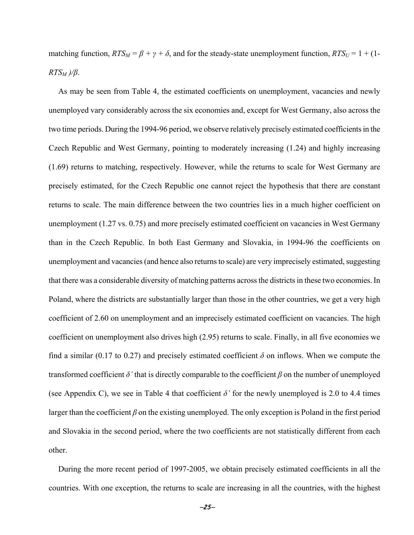matching function,  $RTS_M = \beta + \gamma + \delta$ , and for the steady-state unemployment function,  $RTS_U = 1 + (1 - \delta)$ *RTSM )/β*.

As may be seen from Table 4, the estimated coefficients on unemployment, vacancies and newly unemployed vary considerably across the six economies and, except for West Germany, also across the two time periods. During the 1994-96 period, we observe relatively precisely estimated coefficients in the Czech Republic and West Germany, pointing to moderately increasing (1.24) and highly increasing (1.69) returns to matching, respectively. However, while the returns to scale for West Germany are precisely estimated, for the Czech Republic one cannot reject the hypothesis that there are constant returns to scale. The main difference between the two countries lies in a much higher coefficient on unemployment (1.27 vs. 0.75) and more precisely estimated coefficient on vacancies in West Germany than in the Czech Republic. In both East Germany and Slovakia, in 1994-96 the coefficients on unemployment and vacancies (and hence also returns to scale) are very imprecisely estimated, suggesting that there was a considerable diversity of matching patterns across the districts in these two economies. In Poland, where the districts are substantially larger than those in the other countries, we get a very high coefficient of 2.60 on unemployment and an imprecisely estimated coefficient on vacancies. The high coefficient on unemployment also drives high (2.95) returns to scale. Finally, in all five economies we find a similar (0.17 to 0.27) and precisely estimated coefficient  $\delta$  on inflows. When we compute the transformed coefficient  $\delta$ ' that is directly comparable to the coefficient  $\beta$  on the number of unemployed (see Appendix C), we see in Table 4 that coefficient  $\delta$ <sup>*'*</sup> for the newly unemployed is 2.0 to 4.4 times larger than the coefficient *β* on the existing unemployed. The only exception is Poland in the first period and Slovakia in the second period, where the two coefficients are not statistically different from each other.

During the more recent period of 1997-2005, we obtain precisely estimated coefficients in all the countries. With one exception, the returns to scale are increasing in all the countries, with the highest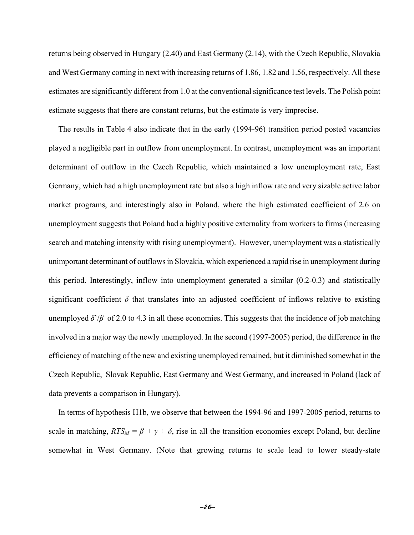returns being observed in Hungary (2.40) and East Germany (2.14), with the Czech Republic, Slovakia and West Germany coming in next with increasing returns of 1.86, 1.82 and 1.56, respectively. All these estimates are significantly different from 1.0 at the conventional significance test levels. The Polish point estimate suggests that there are constant returns, but the estimate is very imprecise.

The results in Table 4 also indicate that in the early (1994-96) transition period posted vacancies played a negligible part in outflow from unemployment. In contrast, unemployment was an important determinant of outflow in the Czech Republic, which maintained a low unemployment rate, East Germany, which had a high unemployment rate but also a high inflow rate and very sizable active labor market programs, and interestingly also in Poland, where the high estimated coefficient of 2.6 on unemployment suggests that Poland had a highly positive externality from workers to firms (increasing search and matching intensity with rising unemployment). However, unemployment was a statistically unimportant determinant of outflows in Slovakia, which experienced a rapid rise in unemployment during this period. Interestingly, inflow into unemployment generated a similar (0.2-0.3) and statistically significant coefficient  $\delta$  that translates into an adjusted coefficient of inflows relative to existing unemployed  $\delta'/\beta$  of 2.0 to 4.3 in all these economies. This suggests that the incidence of job matching involved in a major way the newly unemployed. In the second (1997-2005) period, the difference in the efficiency of matching of the new and existing unemployed remained, but it diminished somewhat in the Czech Republic, Slovak Republic, East Germany and West Germany, and increased in Poland (lack of data prevents a comparison in Hungary).

In terms of hypothesis H1b, we observe that between the 1994-96 and 1997-2005 period, returns to scale in matching,  $RTS_M = \beta + \gamma + \delta$ , rise in all the transition economies except Poland, but decline somewhat in West Germany. (Note that growing returns to scale lead to lower steady-state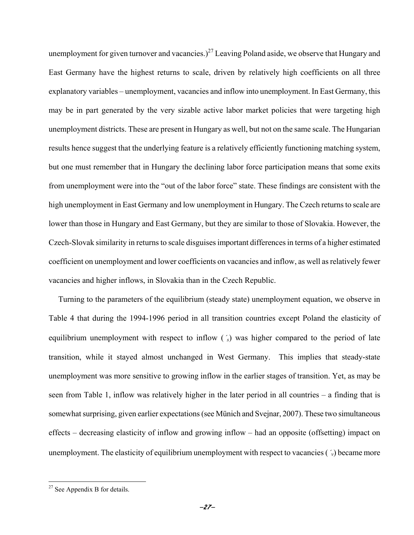unemployment for given turnover and vacancies.)<sup>27</sup> Leaving Poland aside, we observe that Hungary and East Germany have the highest returns to scale, driven by relatively high coefficients on all three explanatory variables – unemployment, vacancies and inflow into unemployment. In East Germany, this may be in part generated by the very sizable active labor market policies that were targeting high unemployment districts. These are present in Hungary as well, but not on the same scale. The Hungarian results hence suggest that the underlying feature is a relatively efficiently functioning matching system, but one must remember that in Hungary the declining labor force participation means that some exits from unemployment were into the "out of the labor force" state. These findings are consistent with the high unemployment in East Germany and low unemployment in Hungary. The Czech returns to scale are lower than those in Hungary and East Germany, but they are similar to those of Slovakia. However, the Czech-Slovak similarity in returns to scale disguises important differences in terms of a higher estimated coefficient on unemployment and lower coefficients on vacancies and inflow, as well as relatively fewer vacancies and higher inflows, in Slovakia than in the Czech Republic.

Turning to the parameters of the equilibrium (steady state) unemployment equation, we observe in Table 4 that during the 1994-1996 period in all transition countries except Poland the elasticity of equilibrium unemployment with respect to inflow (´*s*) was higher compared to the period of late transition, while it stayed almost unchanged in West Germany. This implies that steady-state unemployment was more sensitive to growing inflow in the earlier stages of transition. Yet, as may be seen from Table 1, inflow was relatively higher in the later period in all countries – a finding that is somewhat surprising, given earlier expectations (see Münich and Svejnar, 2007). These two simultaneous effects – decreasing elasticity of inflow and growing inflow – had an opposite (offsetting) impact on unemployment. The elasticity of equilibrium unemployment with respect to vacancies (´*v*) became more

1

 $27$  See Appendix B for details.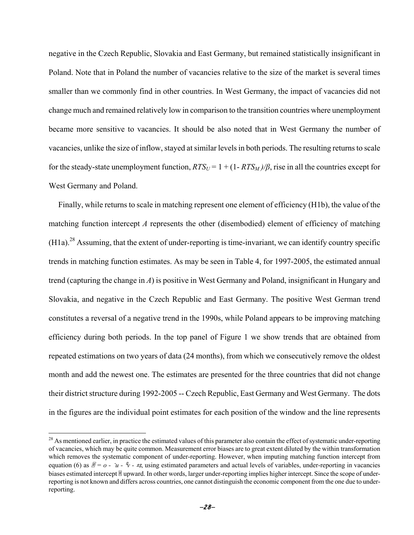negative in the Czech Republic, Slovakia and East Germany, but remained statistically insignificant in Poland. Note that in Poland the number of vacancies relative to the size of the market is several times smaller than we commonly find in other countries. In West Germany, the impact of vacancies did not change much and remained relatively low in comparison to the transition countries where unemployment became more sensitive to vacancies. It should be also noted that in West Germany the number of vacancies, unlike the size of inflow, stayed at similar levels in both periods. The resulting returns to scale for the steady-state unemployment function,  $RTS_U = 1 + (1 - RTS_M)/\beta$ , rise in all the countries except for West Germany and Poland.

Finally, while returns to scale in matching represent one element of efficiency (H1b), the value of the matching function intercept *A* represents the other (disembodied) element of efficiency of matching  $(H1a)$ <sup>28</sup> Assuming, that the extent of under-reporting is time-invariant, we can identify country specific trends in matching function estimates. As may be seen in Table 4, for 1997-2005, the estimated annual trend (capturing the change in *A*) is positive in West Germany and Poland, insignificant in Hungary and Slovakia, and negative in the Czech Republic and East Germany. The positive West German trend constitutes a reversal of a negative trend in the 1990s, while Poland appears to be improving matching efficiency during both periods. In the top panel of Figure 1 we show trends that are obtained from repeated estimations on two years of data (24 months), from which we consecutively remove the oldest month and add the newest one. The estimates are presented for the three countries that did not change their district structure during 1992-2005 -- Czech Republic, East Germany and West Germany. The dots in the figures are the individual point estimates for each position of the window and the line represents

 $\overline{a}$ 

<sup>&</sup>lt;sup>28</sup> As mentioned earlier, in practice the estimated values of this parameter also contain the effect of systematic under-reporting of vacancies, which may be quite common. Measurement error biases are to great extent diluted by the within transformation which removes the systematic component of under-reporting. However, when imputing matching function intercept from equation (6) as  $\mathbb{F} = 0 - \bar{u} - \bar{v} - \pm s$ , using estimated parameters and actual levels of variables, under-reporting in vacancies biases estimated intercept ® upward. In other words, larger under-reporting implies higher intercept. Since the scope of underreporting is not known and differs across countries, one cannot distinguish the economic component from the one due to underreporting.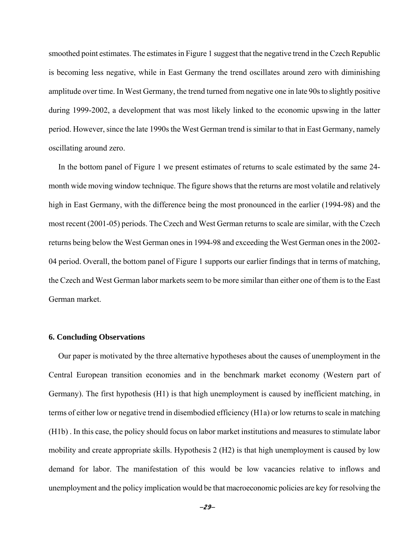smoothed point estimates. The estimates in Figure 1 suggest that the negative trend in the Czech Republic is becoming less negative, while in East Germany the trend oscillates around zero with diminishing amplitude over time. In West Germany, the trend turned from negative one in late 90s to slightly positive during 1999-2002, a development that was most likely linked to the economic upswing in the latter period. However, since the late 1990s the West German trend is similar to that in East Germany, namely oscillating around zero.

In the bottom panel of Figure 1 we present estimates of returns to scale estimated by the same 24 month wide moving window technique. The figure shows that the returns are most volatile and relatively high in East Germany, with the difference being the most pronounced in the earlier (1994-98) and the most recent (2001-05) periods. The Czech and West German returns to scale are similar, with the Czech returns being below the West German ones in 1994-98 and exceeding the West German ones in the 2002- 04 period. Overall, the bottom panel of Figure 1 supports our earlier findings that in terms of matching, the Czech and West German labor markets seem to be more similar than either one of them is to the East German market.

#### **6. Concluding Observations**

Our paper is motivated by the three alternative hypotheses about the causes of unemployment in the Central European transition economies and in the benchmark market economy (Western part of Germany). The first hypothesis (H1) is that high unemployment is caused by inefficient matching, in terms of either low or negative trend in disembodied efficiency (H1a) or low returns to scale in matching (H1b) . In this case, the policy should focus on labor market institutions and measures to stimulate labor mobility and create appropriate skills. Hypothesis 2 (H2) is that high unemployment is caused by low demand for labor. The manifestation of this would be low vacancies relative to inflows and unemployment and the policy implication would be that macroeconomic policies are key for resolving the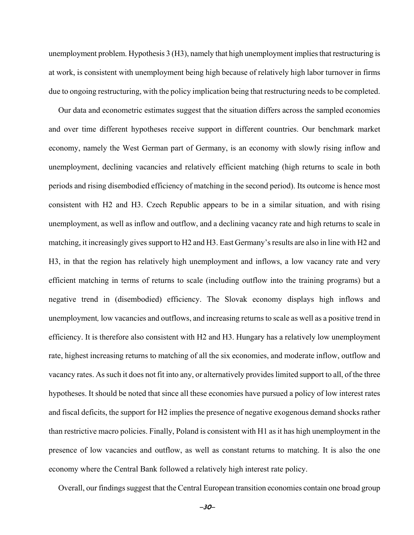unemployment problem. Hypothesis 3 (H3), namely that high unemployment implies that restructuring is at work, is consistent with unemployment being high because of relatively high labor turnover in firms due to ongoing restructuring, with the policy implication being that restructuring needs to be completed.

Our data and econometric estimates suggest that the situation differs across the sampled economies and over time different hypotheses receive support in different countries. Our benchmark market economy, namely the West German part of Germany, is an economy with slowly rising inflow and unemployment, declining vacancies and relatively efficient matching (high returns to scale in both periods and rising disembodied efficiency of matching in the second period). Its outcome is hence most consistent with H2 and H3. Czech Republic appears to be in a similar situation, and with rising unemployment, as well as inflow and outflow, and a declining vacancy rate and high returns to scale in matching, it increasingly gives support to H2 and H3. East Germany's results are also in line with H2 and H3, in that the region has relatively high unemployment and inflows, a low vacancy rate and very efficient matching in terms of returns to scale (including outflow into the training programs) but a negative trend in (disembodied) efficiency. The Slovak economy displays high inflows and unemployment*,* low vacancies and outflows, and increasing returns to scale as well as a positive trend in efficiency. It is therefore also consistent with H2 and H3. Hungary has a relatively low unemployment rate, highest increasing returns to matching of all the six economies, and moderate inflow, outflow and vacancy rates. As such it does not fit into any, or alternatively provides limited support to all, of the three hypotheses. It should be noted that since all these economies have pursued a policy of low interest rates and fiscal deficits, the support for H2 implies the presence of negative exogenous demand shocks rather than restrictive macro policies. Finally, Poland is consistent with H1 as it has high unemployment in the presence of low vacancies and outflow, as well as constant returns to matching. It is also the one economy where the Central Bank followed a relatively high interest rate policy.

Overall, our findings suggest that the Central European transition economies contain one broad group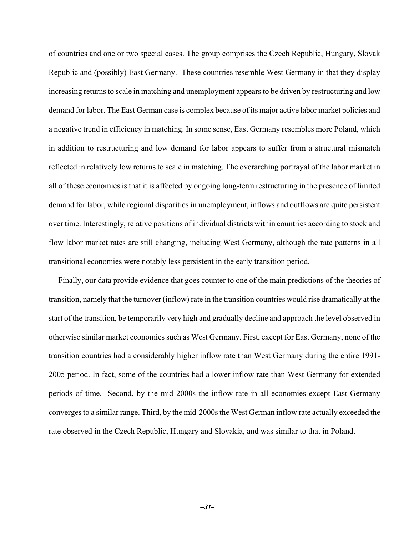of countries and one or two special cases. The group comprises the Czech Republic, Hungary, Slovak Republic and (possibly) East Germany. These countries resemble West Germany in that they display increasing returns to scale in matching and unemployment appears to be driven by restructuring and low demand for labor. The East German case is complex because of its major active labor market policies and a negative trend in efficiency in matching. In some sense, East Germany resembles more Poland, which in addition to restructuring and low demand for labor appears to suffer from a structural mismatch reflected in relatively low returns to scale in matching. The overarching portrayal of the labor market in all of these economies is that it is affected by ongoing long-term restructuring in the presence of limited demand for labor, while regional disparities in unemployment, inflows and outflows are quite persistent over time. Interestingly, relative positions of individual districts within countries according to stock and flow labor market rates are still changing, including West Germany, although the rate patterns in all transitional economies were notably less persistent in the early transition period.

Finally, our data provide evidence that goes counter to one of the main predictions of the theories of transition, namely that the turnover (inflow) rate in the transition countries would rise dramatically at the start of the transition, be temporarily very high and gradually decline and approach the level observed in otherwise similar market economies such as West Germany. First, except for East Germany, none of the transition countries had a considerably higher inflow rate than West Germany during the entire 1991- 2005 period. In fact, some of the countries had a lower inflow rate than West Germany for extended periods of time. Second, by the mid 2000s the inflow rate in all economies except East Germany converges to a similar range. Third, by the mid-2000s the West German inflow rate actually exceeded the rate observed in the Czech Republic, Hungary and Slovakia, and was similar to that in Poland.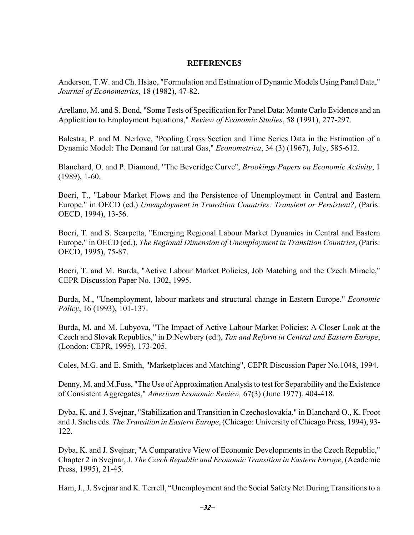# **REFERENCES**

Anderson, T.W. and Ch. Hsiao, "Formulation and Estimation of Dynamic Models Using Panel Data," *Journal of Econometrics*, 18 (1982), 47-82.

Arellano, M. and S. Bond, "Some Tests of Specification for Panel Data: Monte Carlo Evidence and an Application to Employment Equations," *Review of Economic Studies*, 58 (1991), 277-297.

Balestra, P. and M. Nerlove, "Pooling Cross Section and Time Series Data in the Estimation of a Dynamic Model: The Demand for natural Gas," *Econometrica*, 34 (3) (1967), July, 585-612.

Blanchard, O. and P. Diamond, "The Beveridge Curve", *Brookings Papers on Economic Activity*, 1 (1989), 1-60.

Boeri, T., "Labour Market Flows and the Persistence of Unemployment in Central and Eastern Europe." in OECD (ed.) *Unemployment in Transition Countries: Transient or Persistent?*, (Paris: OECD, 1994), 13-56.

Boeri, T. and S. Scarpetta, "Emerging Regional Labour Market Dynamics in Central and Eastern Europe," in OECD (ed.), *The Regional Dimension of Unemployment in Transition Countries*, (Paris: OECD, 1995), 75-87.

Boeri, T. and M. Burda, "Active Labour Market Policies, Job Matching and the Czech Miracle," CEPR Discussion Paper No. 1302, 1995.

Burda, M., "Unemployment, labour markets and structural change in Eastern Europe." *Economic Policy*, 16 (1993), 101-137.

Burda, M. and M. Lubyova, "The Impact of Active Labour Market Policies: A Closer Look at the Czech and Slovak Republics," in D.Newbery (ed.), *Tax and Reform in Central and Eastern Europe*, (London: CEPR, 1995), 173-205.

Coles, M.G. and E. Smith, "Marketplaces and Matching", CEPR Discussion Paper No.1048, 1994.

Denny, M. and M.Fuss, "The Use of Approximation Analysis to test for Separability and the Existence of Consistent Aggregates," *American Economic Review,* 67(3) (June 1977), 404-418.

Dyba, K. and J. Svejnar, "Stabilization and Transition in Czechoslovakia." in Blanchard O., K. Froot and J. Sachs eds. *The Transition in Eastern Europe*, (Chicago: University of Chicago Press, 1994), 93- 122.

Dyba, K. and J. Svejnar, "A Comparative View of Economic Developments in the Czech Republic," Chapter 2 in Svejnar, J. *The Czech Republic and Economic Transition in Eastern Europe*, (Academic Press, 1995), 21-45.

Ham, J., J. Svejnar and K. Terrell, "Unemployment and the Social Safety Net During Transitions to a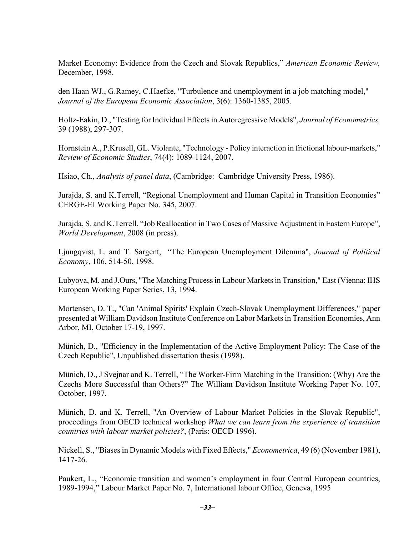Market Economy: Evidence from the Czech and Slovak Republics," *American Economic Review,*  December, 1998.

den Haan WJ., G.Ramey, C.Haefke, "Turbulence and unemployment in a job matching model," *Journal of the European Economic Association*, 3(6): 1360-1385, 2005.

Holtz-Eakin, D., "Testing for Individual Effects in Autoregressive Models", *Journal of Econometrics,* 39 (1988), 297-307.

Hornstein A., P.Krusell, GL. Violante, "Technology - Policy interaction in frictional labour-markets," *Review of Economic Studies*, 74(4): 1089-1124, 2007.

Hsiao, Ch., *Analysis of panel data*, (Cambridge: Cambridge University Press, 1986).

Jurajda, S. and K.Terrell, "Regional Unemployment and Human Capital in Transition Economies" CERGE-EI Working Paper No. 345, 2007.

Jurajda, S. and K.Terrell, "Job Reallocation in Two Cases of Massive Adjustment in Eastern Europe", *World Development*, 2008 (in press).

Ljungqvist, L. and T. Sargent, "The European Unemployment Dilemma", *Journal of Political Economy*, 106, 514-50, 1998.

Lubyova, M. and J.Ours, "The Matching Process in Labour Markets in Transition," East (Vienna: IHS European Working Paper Series, 13, 1994.

Mortensen, D. T., "Can 'Animal Spirits' Explain Czech-Slovak Unemployment Differences," paper presented at William Davidson Institute Conference on Labor Markets in Transition Economies, Ann Arbor, MI, October 17-19, 1997.

Münich, D., "Efficiency in the Implementation of the Active Employment Policy: The Case of the Czech Republic", Unpublished dissertation thesis (1998).

Münich, D., J Svejnar and K. Terrell, "The Worker-Firm Matching in the Transition: (Why) Are the Czechs More Successful than Others?" The William Davidson Institute Working Paper No. 107, October, 1997.

Münich, D. and K. Terrell, "An Overview of Labour Market Policies in the Slovak Republic", proceedings from OECD technical workshop *What we can learn from the experience of transition countries with labour market policies?*, (Paris: OECD 1996).

Nickell, S., "Biases in Dynamic Models with Fixed Effects," *Econometrica*, 49 (6) (November 1981), 1417-26.

Paukert, L., "Economic transition and women's employment in four Central European countries, 1989-1994," Labour Market Paper No. 7, International labour Office, Geneva, 1995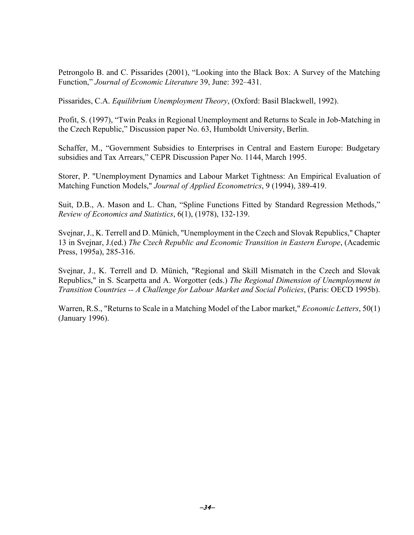Petrongolo B. and C. Pissarides (2001), "Looking into the Black Box: A Survey of the Matching Function," *Journal of Economic Literature* 39, June: 392–431.

Pissarides, C.A. *Equilibrium Unemployment Theory*, (Oxford: Basil Blackwell, 1992).

Profit, S. (1997), "Twin Peaks in Regional Unemployment and Returns to Scale in Job-Matching in the Czech Republic," Discussion paper No. 63, Humboldt University, Berlin.

Schaffer, M., "Government Subsidies to Enterprises in Central and Eastern Europe: Budgetary subsidies and Tax Arrears," CEPR Discussion Paper No. 1144, March 1995.

Storer, P. "Unemployment Dynamics and Labour Market Tightness: An Empirical Evaluation of Matching Function Models," *Journal of Applied Econometrics*, 9 (1994), 389-419.

Suit, D.B., A. Mason and L. Chan, "Spline Functions Fitted by Standard Regression Methods," *Review of Economics and Statistics*, 6(1), (1978), 132-139.

Svejnar, J., K. Terrell and D. Münich, "Unemployment in the Czech and Slovak Republics," Chapter 13 in Svejnar, J.(ed.) *The Czech Republic and Economic Transition in Eastern Europe*, (Academic Press, 1995a), 285-316.

Svejnar, J., K. Terrell and D. Münich, "Regional and Skill Mismatch in the Czech and Slovak Republics," in S. Scarpetta and A. Worgotter (eds.) *The Regional Dimension of Unemployment in Transition Countries -- A Challenge for Labour Market and Social Policies*, (Paris: OECD 1995b).

Warren, R.S., "Returns to Scale in a Matching Model of the Labor market," *Economic Letters*, 50(1) (January 1996).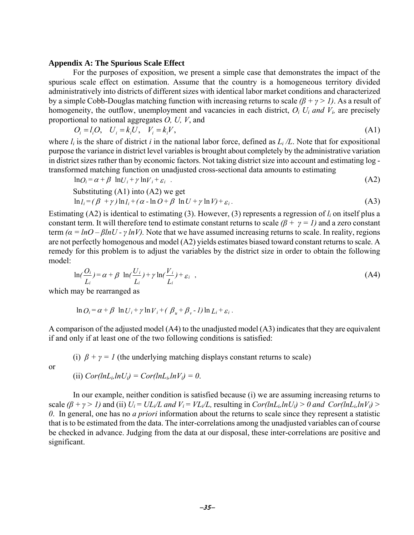# **Appendix A: The Spurious Scale Effect**

 For the purposes of exposition, we present a simple case that demonstrates the impact of the spurious scale effect on estimation. Assume that the country is a homogeneous territory divided administratively into districts of different sizes with identical labor market conditions and characterized by a simple Cobb-Douglas matching function with increasing returns to scale *(β + γ > 1)*. As a result of homogeneity, the outflow, unemployment and vacancies in each district, *Oi Ui and Vi,* are precisely proportional to national aggregates *O, U, V*, and

$$
O_i = l_i O, \quad U_i = k_i U, \quad V_i = k_i V,\tag{A1}
$$

where  $l_i$  is the share of district *i* in the national labor force, defined as  $L_i/L$ . Note that for expositional purpose the variance in district level variables is brought about completely by the administrative variation in district sizes rather than by economic factors. Not taking district size into account and estimating log transformed matching function on unadjusted cross-sectional data amounts to estimating

$$
\ln Q_i = \alpha + \beta \ln U_i + \gamma \ln V_i + \varepsilon_i \tag{A2}
$$

Substituting (A1) into (A2) we get  
\n
$$
\ln l_i = (\beta + \gamma) \ln l_i + (\alpha - \ln O + \beta \ln U + \gamma \ln V) + \varepsilon_i.
$$
\n(A3)

Estimating (A2) is identical to estimating (3). However, (3) represents a regression of *li* on itself plus a constant term. It will therefore tend to estimate constant returns to scale  $(\beta + \gamma = 1)$  and a zero constant term  $(a = lnQ - \beta lnU - \gamma lnV)$ . Note that we have assumed increasing returns to scale. In reality, regions are not perfectly homogenous and model (A2) yields estimates biased toward constant returns to scale. A remedy for this problem is to adjust the variables by the district size in order to obtain the following model:

$$
\ln\left(\frac{O_i}{L_i}\right) = \alpha + \beta \ln\left(\frac{U_i}{L_i}\right) + \gamma \ln\left(\frac{V_i}{L_i}\right) + \varepsilon_i \tag{A4}
$$

which may be rearranged as

$$
\ln O_i = \alpha + \beta \ln U_i + \gamma \ln V_i + (\beta_u + \beta_v - I) \ln L_i + \varepsilon_i.
$$

A comparison of the adjusted model (A4) to the unadjusted model (A3) indicates that they are equivalent if and only if at least one of the two following conditions is satisfied:

(i)  $\beta + \gamma = 1$  (the underlying matching displays constant returns to scale)

or

(ii)  $Cor(lnL_i ln U_i) = Cor(lnL_i ln V_i) = 0$ .

 In our example, neither condition is satisfied because (i) we are assuming increasing returns to scale  $(\beta + \gamma > 1)$  and (ii)  $U_i = UL_i/L$  and  $V_i = VL_i/L$ , resulting in  $Cor(lnL_i ln U_i) > 0$  and  $Cor(lnL_i ln V_i) >$ *0*. In general, one has no *a priori* information about the returns to scale since they represent a statistic that is to be estimated from the data. The inter-correlations among the unadjusted variables can of course be checked in advance. Judging from the data at our disposal, these inter-correlations are positive and significant.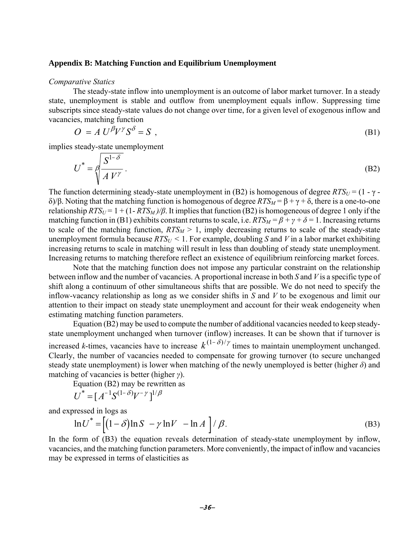# **Appendix B: Matching Function and Equilibrium Unemployment**

#### *Comparative Statics*

The steady-state inflow into unemployment is an outcome of labor market turnover. In a steady state, unemployment is stable and outflow from unemployment equals inflow. Suppressing time subscripts since steady-state values do not change over time, for a given level of exogenous inflow and vacancies, matching function

$$
O = A U^{\beta} V^{\gamma} S^{\delta} = S , \tag{B1}
$$

implies steady-state unemployment

$$
U^* = \oint \frac{S^{1-\delta}}{A V^{\gamma}}.
$$
 (B2)

The function determining steady-state unemployment in (B2) is homogenous of degree  $RTS_U = (1 - \gamma - \gamma)$ δ)/β. Noting that the matching function is homogenous of degree  $RTS_M = \beta + \gamma + \delta$ , there is a one-to-one relationship  $RTS_U = 1 + (1 - RTS_M)/\beta$ . It implies that function (B2) is homogeneous of degree 1 only if the matching function in (B1) exhibits constant returns to scale, i.e.  $RTS_M = \beta + \gamma + \delta = 1$ . Increasing returns to scale of the matching function,  $RTS_M > 1$ , imply decreasing returns to scale of the steady-state unemployment formula because  $RTS_U \leq 1$ . For example, doubling *S* and *V* in a labor market exhibiting increasing returns to scale in matching will result in less than doubling of steady state unemployment. Increasing returns to matching therefore reflect an existence of equilibrium reinforcing market forces.

Note that the matching function does not impose any particular constraint on the relationship between inflow and the number of vacancies. A proportional increase in both *S* and *V* is a specific type of shift along a continuum of other simultaneous shifts that are possible. We do not need to specify the inflow-vacancy relationship as long as we consider shifts in *S* and *V* to be exogenous and limit our attention to their impact on steady state unemployment and account for their weak endogeneity when estimating matching function parameters.

Equation (B2) may be used to compute the number of additional vacancies needed to keep steadystate unemployment unchanged when turnover (inflow) increases. It can be shown that if turnover is increased *k*-times, vacancies have to increase  $k^{(1-\delta)/\gamma}$  times to maintain unemployment unchanged. Clearly, the number of vacancies needed to compensate for growing turnover (to secure unchanged steady state unemployment) is lower when matching of the newly unemployed is better (higher *δ*) and matching of vacancies is better (higher *γ*).

Equation (B2) may be rewritten as

$$
U^* = [A^{-1}S^{(1-\delta)}V^{-\gamma}]^{1/\beta}
$$

and expressed in logs as

$$
\ln U^* = \left[ (1 - \delta) \ln S - \gamma \ln V - \ln A \right] / \beta. \tag{B3}
$$

In the form of (B3) the equation reveals determination of steady-state unemployment by inflow, vacancies, and the matching function parameters. More conveniently, the impact of inflow and vacancies may be expressed in terms of elasticities as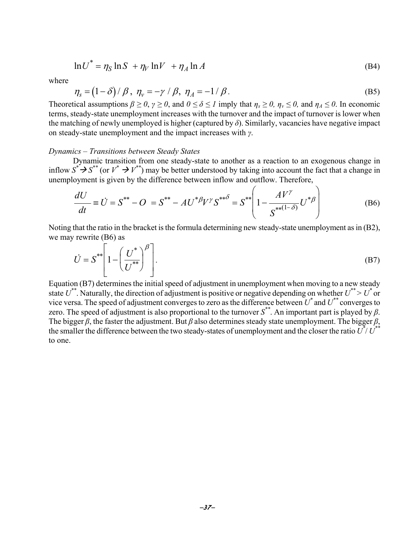$$
\ln U^* = \eta_S \ln S + \eta_V \ln V + \eta_A \ln A \tag{B4}
$$

where

$$
\eta_s = (1 - \delta) / \beta, \ \eta_v = -\gamma / \beta, \ \eta_A = -1 / \beta. \tag{B5}
$$

Theoretical assumptions  $\beta \ge 0$ ,  $\gamma \ge 0$ , and  $0 \le \delta \le 1$  imply that  $\eta_s \ge 0$ ,  $\eta_v \le 0$ , and  $\eta_A \le 0$ . In economic terms, steady-state unemployment increases with the turnover and the impact of turnover is lower when the matching of newly unemployed is higher (captured by  $\delta$ ). Similarly, vacancies have negative impact on steady-state unemployment and the impact increases with *γ*.

### *Dynamics – Transitions between Steady States*

Dynamic transition from one steady-state to another as a reaction to an exogenous change in inflow  $S^* \rightarrow S^{**}$  (or  $V^* \rightarrow V^{**}$ ) may be better understood by taking into account the fact that a change in unemployment is given by the difference between inflow and outflow. Therefore,

$$
\frac{dU}{dt} \equiv \dot{U} = S^{**} - O = S^{**} - AU^{*\beta}V^{\gamma}S^{**\delta} = S^{**} \left(1 - \frac{AV^{\gamma}}{S^{**}^{(1-\delta)}}U^{*\beta}\right)
$$
(B6)

Noting that the ratio in the bracket is the formula determining new steady-state unemployment as in (B2), we may rewrite (B6) as

$$
\dot{U} = S^{**} \left[ 1 - \left( \frac{U^*}{U^{**}} \right)^{\beta} \right].
$$
 (B7)

Equation (B7) determines the initial speed of adjustment in unemployment when moving to a new steady state  $U^{**}$ . Naturally, the direction of adjustment is positive or negative depending on whether  $U^{**} > U^*$  or vice versa. The speed of adjustment converges to zero as the difference between  $\vec{U}^*$  and  $\vec{U}^*$  converges to zero. The speed of adjustment is also proportional to the turnover *S\*\**. An important part is played by *β*. The bigger  $\beta$ , the faster the adjustment. But  $\beta$  also determines steady state unemployment. The bigger  $\beta$ , the smaller the difference between the two steady-states of unemployment and the closer the ratio  $\vec{U}^{\dagger}/\vec{U}^{**}$ to one.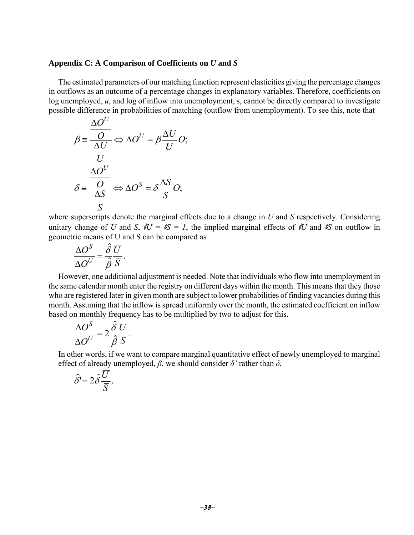## **Appendix C: A Comparison of Coefficients on** *U* **and** *S*

The estimated parameters of our matching function represent elasticities giving the percentage changes in outflows as an outcome of a percentage changes in explanatory variables. Therefore, coefficients on log unemployed, *u*, and log of inflow into unemployment, s, cannot be directly compared to investigate possible difference in probabilities of matching (outflow from unemployment). To see this, note that

$$
\beta = \frac{\frac{\Delta O^U}{O}}{\frac{\Delta U}{U}} \Leftrightarrow \Delta O^U = \beta \frac{\Delta U}{U} O;
$$

$$
\delta = \frac{\frac{\Delta O^U}{O}}{\frac{\Delta S}{S}} \Leftrightarrow \Delta O^S = \delta \frac{\Delta S}{S} O;
$$

where superscripts denote the marginal effects due to a change in *U* and *S* respectively. Considering unitary change of *U* and *S*,  $\rlap{\,/}{\mathcal{E}}U = \rlap{\,/}{\mathcal{E}}S = I$ , the implied marginal effects of  $\rlap{\,/}{\mathcal{E}}U$  and  $\rlap{\,/}{\mathcal{E}}S$  on outflow in geometric means of U and S can be compared as

$$
\frac{\Delta O^S}{\Delta O^U} = \frac{\hat{\delta}}{\hat{\beta}} \frac{\overline{U}}{\overline{S}}.
$$

However, one additional adjustment is needed. Note that individuals who flow into unemployment in the same calendar month enter the registry on different days within the month. This means that they those who are registered later in given month are subject to lower probabilities of finding vacancies during this month. Assuming that the inflow is spread uniformly over the month, the estimated coefficient on inflow based on monthly frequency has to be multiplied by two to adjust for this.

$$
\frac{\Delta O^S}{\Delta O^U} = 2 \frac{\hat{\delta}}{\hat{\beta}} \frac{\overline{U}}{\overline{S}}.
$$

In other words, if we want to compare marginal quantitative effect of newly unemployed to marginal effect of already unemployed,  $\beta$ , we should consider  $\delta'$  rather than  $\delta$ ,

$$
\hat{\delta} = 2\hat{\delta}\frac{\overline{U}}{\overline{S}}.
$$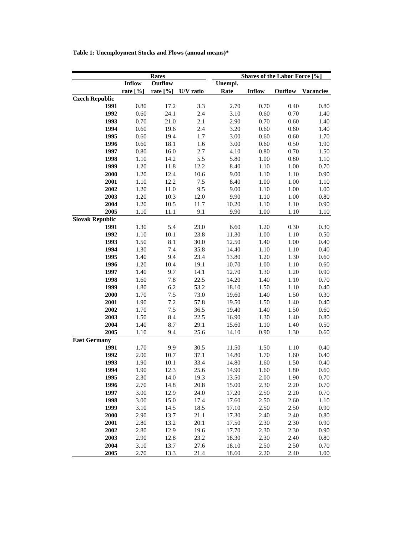**Table 1: Unemployment Stocks and Flows (annual means)\***

| Rates                                                               | Shares of the Labor Force [%] |                  |  |  |  |  |  |  |
|---------------------------------------------------------------------|-------------------------------|------------------|--|--|--|--|--|--|
| <b>Inflow</b><br>Outflow<br>Unempl.                                 |                               |                  |  |  |  |  |  |  |
| Rate<br>rate [%]<br>rate [%]<br><b>Inflow</b><br>U/V ratio          | Outflow                       | <b>Vacancies</b> |  |  |  |  |  |  |
| <b>Czech Republic</b>                                               |                               |                  |  |  |  |  |  |  |
| 1991<br>0.80<br>3.3<br>17.2<br>2.70<br>0.70                         | 0.40                          | 0.80             |  |  |  |  |  |  |
| 24.1<br>1992<br>0.60<br>2.4<br>3.10<br>0.60                         | 0.70                          | 1.40             |  |  |  |  |  |  |
| 1993<br>0.70<br>21.0<br>2.1<br>2.90<br>0.70                         | 0.60                          | 1.40             |  |  |  |  |  |  |
| 1994<br>0.60<br>19.6<br>2.4<br>3.20<br>0.60                         | 0.60                          | 1.40             |  |  |  |  |  |  |
| 1995<br>0.60<br>19.4<br>1.7<br>3.00<br>0.60                         | 0.60                          | 1.70             |  |  |  |  |  |  |
| 1996<br>0.60<br>18.1<br>1.6<br>3.00<br>0.60                         | 0.50                          | 1.90             |  |  |  |  |  |  |
| 1997<br>$0.80\,$<br>$2.7\,$<br>0.80<br>16.0<br>4.10                 | $0.70\,$                      | 1.50             |  |  |  |  |  |  |
| 1998<br>1.10<br>5.5<br>1.00<br>14.2<br>5.80                         | 0.80                          | 1.10             |  |  |  |  |  |  |
| 1999<br>1.20<br>12.2<br>8.40<br>11.8<br>1.10                        | 1.00                          | 0.70             |  |  |  |  |  |  |
| 2000<br>1.20<br>10.6<br>9.00<br>1.10<br>12.4                        | 1.10                          | 0.90             |  |  |  |  |  |  |
| 2001<br>1.10<br>12.2<br>7.5<br>8.40<br>1.00                         | 1.00                          | 1.10             |  |  |  |  |  |  |
| 2002<br>1.20<br>9.5<br>9.00<br>11.0<br>1.10                         | 1.00                          | 1.00             |  |  |  |  |  |  |
| 2003<br>1.20<br>10.3<br>12.0<br>9.90<br>1.10                        | 1.00                          | $0.80\,$         |  |  |  |  |  |  |
| 2004<br>1.20<br>10.5<br>11.7<br>10.20<br>1.10                       | 1.10                          | 0.90             |  |  |  |  |  |  |
| 2005<br>1.10<br>9.1<br>9.90<br>11.1<br>1.00                         | 1.10                          | 1.10             |  |  |  |  |  |  |
| <b>Slovak Republic</b>                                              |                               |                  |  |  |  |  |  |  |
| 1991<br>1.30<br>5.4<br>23.0<br>6.60<br>1.20                         | 0.30                          | 0.30             |  |  |  |  |  |  |
| 1992<br>1.10<br>10.1<br>23.8<br>11.30<br>1.00                       | 1.10                          | 0.50             |  |  |  |  |  |  |
| 1993<br>1.50<br>8.1<br>30.0<br>1.40<br>12.50                        | 1.00                          | 0.40             |  |  |  |  |  |  |
| 1994<br>1.30<br>7.4<br>35.8<br>1.10<br>14.40                        | 1.10                          | 0.40             |  |  |  |  |  |  |
| 1995<br>1.40<br>9.4<br>23.4<br>1.20<br>13.80                        | 1.30                          | 0.60             |  |  |  |  |  |  |
| 1.20<br>1996<br>10.4<br>19.1<br>10.70<br>1.00                       | 1.10                          | 0.60             |  |  |  |  |  |  |
| 1997<br>1.40<br>9.7<br>14.1<br>12.70<br>1.30                        | 1.20                          | 0.90             |  |  |  |  |  |  |
| 1998<br>1.60<br>7.8<br>22.5<br>1.40<br>14.20                        | 1.10                          | 0.70             |  |  |  |  |  |  |
| 1999<br>1.80<br>6.2<br>53.2<br>1.50<br>18.10                        | 1.10                          | 0.40             |  |  |  |  |  |  |
| 2000<br>1.70<br>7.5<br>73.0<br>1.40<br>19.60                        | 1.50                          | 0.30             |  |  |  |  |  |  |
| 7.2<br>2001<br>1.90<br>57.8<br>1.50<br>19.50                        | 1.40                          | 0.40             |  |  |  |  |  |  |
| 2002<br>1.70<br>7.5<br>1.40<br>36.5<br>19.40                        | 1.50                          | 0.60             |  |  |  |  |  |  |
| 8.4<br>2003<br>1.50<br>22.5<br>16.90<br>1.30                        | 1.40                          | $0.80\,$         |  |  |  |  |  |  |
| 8.7<br>2004<br>1.40<br>29.1<br>15.60<br>1.10                        | 1.40                          | 0.50             |  |  |  |  |  |  |
| 2005<br>9.4<br>25.6<br>1.10<br>14.10<br>0.90<br><b>East Germany</b> | 1.30                          | 0.60             |  |  |  |  |  |  |
| 1991<br>1.70<br>30.5<br>9.9<br>11.50<br>1.50                        | 1.10                          | 0.40             |  |  |  |  |  |  |
| 1992<br>2.00<br>10.7<br>37.1<br>14.80<br>1.70                       | 1.60                          | 0.40             |  |  |  |  |  |  |
| 1993<br>1.90<br>10.1<br>33.4<br>1.60<br>14.80                       | 1.50                          | 0.40             |  |  |  |  |  |  |
| 1994<br>1.90<br>12.3<br>25.6<br>1.60<br>14.90                       | 1.80                          | 0.60             |  |  |  |  |  |  |
| 14.0<br>1995<br>2.30<br>19.3<br>13.50<br>2.00                       | 1.90                          | 0.70             |  |  |  |  |  |  |
| 1996<br>2.70<br>14.8<br>20.8<br>2.30<br>15.00                       | 2.20                          | 0.70             |  |  |  |  |  |  |
| 1997<br>3.00<br>12.9<br>24.0<br>2.50<br>17.20                       | 2.20                          | 0.70             |  |  |  |  |  |  |
| 3.00<br>2.50<br>1998<br>15.0<br>17.4<br>17.60                       | 2.60                          | 1.10             |  |  |  |  |  |  |
| 1999<br>3.10<br>2.50<br>14.5<br>18.5<br>17.10                       | 2.50                          | 0.90             |  |  |  |  |  |  |
| 2000<br>2.90<br>13.7<br>2.40<br>21.1<br>17.30                       | 2.40                          | $0.80\,$         |  |  |  |  |  |  |
| 2001<br>2.80<br>13.2<br>20.1<br>2.30<br>17.50                       | 2.30                          | 0.90             |  |  |  |  |  |  |
| 2002<br>2.80<br>12.9<br>19.6<br>2.30<br>17.70                       | 2.30                          | 0.90             |  |  |  |  |  |  |
| 2003<br>2.90<br>23.2<br>2.30<br>12.8<br>18.30                       | 2.40                          | 0.80             |  |  |  |  |  |  |
| 2004<br>3.10<br>13.7<br>27.6<br>18.10<br>2.50                       | 2.50                          | 0.70             |  |  |  |  |  |  |
|                                                                     |                               |                  |  |  |  |  |  |  |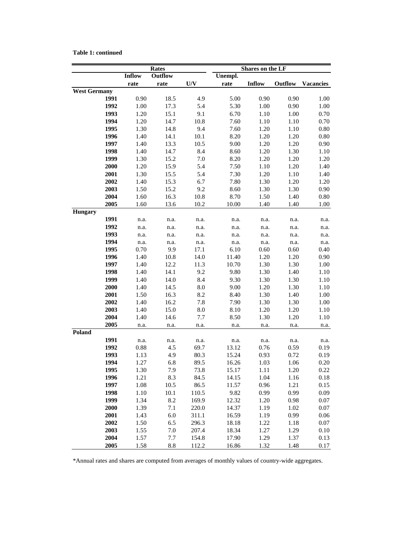## **Table 1: continued**

|                     |                   | <b>Rates</b> |              | Shares on the LF |              |              |                  |  |  |  |
|---------------------|-------------------|--------------|--------------|------------------|--------------|--------------|------------------|--|--|--|
|                     | Inflow<br>Outflow |              |              | Unempl.          |              |              |                  |  |  |  |
|                     | rate              | rate         | U/V          | rate             | Inflow       | Outflow      | <b>Vacancies</b> |  |  |  |
| <b>West Germany</b> |                   |              |              |                  |              |              |                  |  |  |  |
| 1991                | 0.90              | 18.5         | 4.9          | 5.00             | 0.90         | 0.90         | 1.00             |  |  |  |
| 1992                | 1.00              | 17.3         | 5.4          | 5.30             | 1.00         | 0.90         | 1.00             |  |  |  |
| 1993                | 1.20              | 15.1         | 9.1          | 6.70             | 1.10         | 1.00         | 0.70             |  |  |  |
| 1994                | 1.20              | 14.7         | 10.8         | 7.60             | 1.10         | 1.10         | 0.70             |  |  |  |
| 1995                | 1.30              | 14.8         | 9.4          | 7.60             | 1.20         | 1.10         | $0.80\,$         |  |  |  |
| 1996                | 1.40              | 14.1         | 10.1         | 8.20             | 1.20         | 1.20         | $0.80\,$         |  |  |  |
| 1997                | 1.40              | 13.3         | 10.5         | 9.00             | 1.20         | 1.20         | 0.90             |  |  |  |
| 1998                | 1.40              | 14.7         | 8.4          | 8.60             | 1.20         | 1.30         | 1.10             |  |  |  |
| 1999                | 1.30              | 15.2         | 7.0          | 8.20             | 1.20         | 1.20         | 1.20             |  |  |  |
| 2000                | 1.20              | 15.9         | 5.4          | 7.50             | 1.10         | 1.20         | 1.40             |  |  |  |
| 2001                | 1.30              | 15.5         | 5.4          | 7.30             | 1.20         | 1.10         | 1.40             |  |  |  |
| 2002                | 1.40              | 15.3         | 6.7          | 7.80             | 1.30         | 1.20         | 1.20             |  |  |  |
| 2003                | 1.50              | 15.2         | 9.2          | 8.60             | 1.30         | 1.30         | 0.90             |  |  |  |
| 2004                | 1.60              | 16.3         | 10.8         | 8.70             | 1.50         | 1.40         | $0.80\,$         |  |  |  |
| 2005                | 1.60              | 13.6         | 10.2         | 10.00            | 1.40         | 1.40         | 1.00             |  |  |  |
| <b>Hungary</b>      |                   |              |              |                  |              |              |                  |  |  |  |
| 1991                | n.a.              | n.a.         | n.a.         | n.a.             | n.a.         | n.a.         | n.a.             |  |  |  |
| 1992                | n.a.              | n.a.         | n.a.         | n.a.             | n.a.         | n.a.         | n.a.             |  |  |  |
| 1993                | n.a.              | n.a.         | n.a.         | n.a.             | n.a.         | n.a.         | n.a.             |  |  |  |
| 1994                | n.a.              | n.a.         | n.a.         | n.a.             | n.a.         | n.a.         | n.a.             |  |  |  |
| 1995                | 0.70              | 9.9          | 17.1         | 6.10             | 0.60         | 0.60         | 0.40             |  |  |  |
| 1996                | 1.40              | 10.8         | 14.0         | 11.40            | 1.20         | 1.20         | 0.90             |  |  |  |
| 1997                | 1.40              | 12.2         | 11.3         | 10.70            | 1.30         | 1.30         | 1.00             |  |  |  |
| 1998                | 1.40              | 14.1         | 9.2          | 9.80             | 1.30         | 1.40         | $1.10\,$         |  |  |  |
| 1999                | 1.40              | 14.0         | 8.4          | 9.30             | 1.30         | 1.30         | 1.10             |  |  |  |
| 2000                | 1.40              | 14.5         | $\ \, 8.0$   | 9.00             | 1.20<br>1.30 |              | 1.10             |  |  |  |
| 2001                | 1.50              | 16.3         | 8.2          | 8.40             | 1.30         | 1.40         | 1.00             |  |  |  |
| 2002                | 1.40              | 16.2         | 7.8          | 7.90             | 1.30         | 1.30         | 1.00             |  |  |  |
| 2003                | 1.40              | 15.0         | 8.0          | 8.10             | 1.20<br>1.20 |              | 1.10             |  |  |  |
| 2004                | 1.40              | 14.6         | 7.7          | 8.50             | 1.30         | 1.20         | 1.10             |  |  |  |
| 2005<br>Poland      | n.a.              | n.a.         | n.a.         | n.a.             | n.a.         | n.a.         | n.a.             |  |  |  |
| 1991                |                   |              |              |                  |              |              |                  |  |  |  |
| 1992                | n.a.<br>0.88      | n.a.<br>4.5  | n.a.<br>69.7 | n.a.<br>13.12    | n.a.<br>0.76 | n.a.<br>0.59 | n.a.<br>0.19     |  |  |  |
| 1993                | 1.13              | 4.9          | 80.3         | 15.24            | 0.93         | 0.72         | 0.19             |  |  |  |
| 1994                | 1.27              | 6.8          | 89.5         | 16.26            | 1.03         | 1.06         | 0.20             |  |  |  |
| 1995                | 1.30              | 7.9          | 73.8         | 15.17            | 1.11         | 1.20         | 0.22             |  |  |  |
| 1996                | 1.21              | 8.3          | 84.5         | 14.15            | 1.04         | 1.16         | 0.18             |  |  |  |
| 1997                | 1.08              | 10.5         | 86.5         | 11.57            | 0.96         | 1.21         | 0.15             |  |  |  |
| 1998                | 1.10              | 10.1         | 110.5        | 9.82             | 0.99         | 0.99         | 0.09             |  |  |  |
| 1999                | 1.34              | 8.2          | 169.9        | 12.32            | 1.20         | 0.98         | 0.07             |  |  |  |
| 2000                | 1.39              | 7.1          | 220.0        | 14.37            | 1.19         | 1.02         | 0.07             |  |  |  |
| 2001                | 1.43              | $6.0\,$      | 311.1        | 16.59            | 1.19         | 0.99         | 0.06             |  |  |  |
| 2002                | 1.50              | 6.5          | 296.3        | 18.18            | 1.22         | 1.18         | $0.07\,$         |  |  |  |
| 2003                | 1.55              | 7.0          | 207.4        | 18.34            | 1.27         | 1.29         | 0.10             |  |  |  |
| 2004                | 1.57              | 7.7          | 154.8        | 17.90            | 1.29         | 1.37         | 0.13             |  |  |  |
| 2005                | 1.58              | 8.8          | 112.2        | 16.86            | 1.32         | 1.48         | 0.17             |  |  |  |

\*Annual rates and shares are computed from averages of monthly values of country-wide aggregates.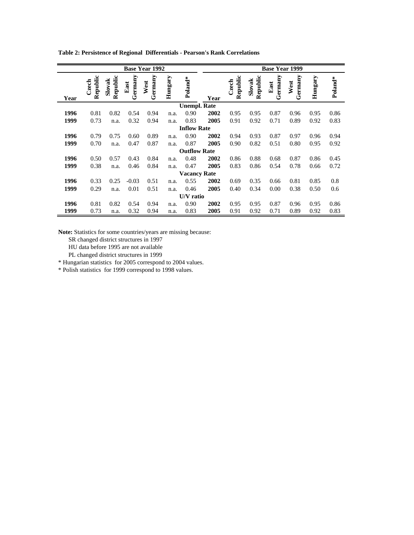| <b>Base Year 1992</b> |                   |                    |                 |                 |         |                     |      |                   | <b>Base Year 1999</b> |                 |                 |         |         |
|-----------------------|-------------------|--------------------|-----------------|-----------------|---------|---------------------|------|-------------------|-----------------------|-----------------|-----------------|---------|---------|
| Year                  | Republic<br>Czech | Republic<br>Slovak | Germany<br>East | Germany<br>West | Hungary | Poland*             | Year | Republic<br>Czech | Republic<br>Slovak    | Germany<br>East | Germany<br>West | Hungary | Poland* |
|                       |                   |                    |                 |                 |         | <b>Unempl. Rate</b> |      |                   |                       |                 |                 |         |         |
| 1996                  | 0.81              | 0.82               | 0.54            | 0.94            | n.a.    | 0.90                | 2002 | 0.95              | 0.95                  | 0.87            | 0.96            | 0.95    | 0.86    |
| 1999                  | 0.73              | n.a.               | 0.32            | 0.94            | n.a.    | 0.83                | 2005 | 0.91              | 0.92                  | 0.71            | 0.89            | 0.92    | 0.83    |
|                       |                   |                    |                 |                 |         | <b>Inflow Rate</b>  |      |                   |                       |                 |                 |         |         |
| 1996                  | 0.79              | 0.75               | 0.60            | 0.89            | n.a.    | 0.90                | 2002 | 0.94              | 0.93                  | 0.87            | 0.97            | 0.96    | 0.94    |
| 1999                  | 0.70              | n.a.               | 0.47            | 0.87            | n.a.    | 0.87                | 2005 | 0.90              | 0.82                  | 0.51            | 0.80            | 0.95    | 0.92    |
|                       |                   |                    |                 |                 |         | <b>Outflow Rate</b> |      |                   |                       |                 |                 |         |         |
| 1996                  | 0.50              | 0.57               | 0.43            | 0.84            | n.a.    | 0.48                | 2002 | 0.86              | 0.88                  | 0.68            | 0.87            | 0.86    | 0.45    |
| 1999                  | 0.38              | n.a.               | 0.46            | 0.84            | n.a.    | 0.47                | 2005 | 0.83              | 0.86                  | 0.54            | 0.78            | 0.66    | 0.72    |
|                       |                   |                    |                 |                 |         | <b>Vacancy Rate</b> |      |                   |                       |                 |                 |         |         |
| 1996                  | 0.33              | 0.25               | $-0.03$         | 0.51            | n.a.    | 0.55                | 2002 | 0.69              | 0.35                  | 0.66            | 0.81            | 0.85    | 0.8     |
| 1999                  | 0.29              | n.a.               | 0.01            | 0.51            | n.a.    | 0.46                | 2005 | 0.40              | 0.34                  | 0.00            | 0.38            | 0.50    | 0.6     |
|                       |                   |                    |                 |                 |         | U/V ratio           |      |                   |                       |                 |                 |         |         |
| 1996                  | 0.81              | 0.82               | 0.54            | 0.94            | n.a.    | 0.90                | 2002 | 0.95              | 0.95                  | 0.87            | 0.96            | 0.95    | 0.86    |
| 1999                  | 0.73              | n.a.               | 0.32            | 0.94            | n.a.    | 0.83                | 2005 | 0.91              | 0.92                  | 0.71            | 0.89            | 0.92    | 0.83    |

**Table 2: Persistence of Regional Differentials - Pearson's Rank Correlations**

**Note:** Statistics for some countries/years are missing because:

SR changed district structures in 1997

HU data before 1995 are not available

PL changed district structures in 1999

\* Hungarian statistics for 2005 correspond to 2004 values.

\* Polish statistics for 1999 correspond to 1998 values.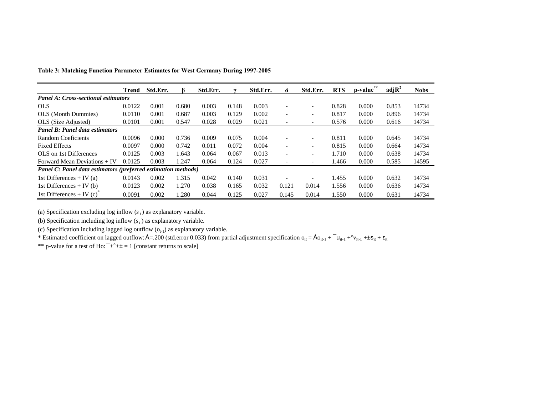|                                                               | Trend  | Std.Err. |       | Std.Err. |       | Std.Err. | δ                        | Std.Err.                 | <b>RTS</b> | p-value | $\text{adj} \mathbb{R}^2$ | <b>Nobs</b> |
|---------------------------------------------------------------|--------|----------|-------|----------|-------|----------|--------------------------|--------------------------|------------|---------|---------------------------|-------------|
| <b>Panel A: Cross-sectional estimators</b>                    |        |          |       |          |       |          |                          |                          |            |         |                           |             |
| <b>OLS</b>                                                    | 0.0122 | 0.001    | 0.680 | 0.003    | 0.148 | 0.003    | $\overline{\phantom{0}}$ | $\overline{\phantom{a}}$ | 0.828      | 0.000   | 0.853                     | 14734       |
| <b>OLS</b> (Month Dummies)                                    | 0.0110 | 0.001    | 0.687 | 0.003    | 0.129 | 0.002    | $\overline{\phantom{a}}$ | $\overline{\phantom{a}}$ | 0.817      | 0.000   | 0.896                     | 14734       |
| OLS (Size Adjusted)                                           | 0.0101 | 0.001    | 0.547 | 0.028    | 0.029 | 0.021    | $\overline{\phantom{a}}$ | $\overline{\phantom{a}}$ | 0.576      | 0.000   | 0.616                     | 14734       |
| <b>Panel B: Panel data estimators</b>                         |        |          |       |          |       |          |                          |                          |            |         |                           |             |
| Random Coeficients                                            | 0.0096 | 0.000    | 0.736 | 0.009    | 0.075 | 0.004    | $\overline{\phantom{a}}$ | $\overline{\phantom{a}}$ | 0.811      | 0.000   | 0.645                     | 14734       |
| <b>Fixed Effects</b>                                          | 0.0097 | 0.000    | 0.742 | 0.011    | 0.072 | 0.004    | $\overline{\phantom{a}}$ | $\overline{\phantom{a}}$ | 0.815      | 0.000   | 0.664                     | 14734       |
| OLS on 1st Differences                                        | 0.0125 | 0.003    | 1.643 | 0.064    | 0.067 | 0.013    | $\overline{\phantom{a}}$ | $\overline{\phantom{a}}$ | 1.710      | 0.000   | 0.638                     | 14734       |
| Forward Mean Deviations + IV                                  | 0.0125 | 0.003    | 1.247 | 0.064    | 0.124 | 0.027    | $\overline{\phantom{a}}$ | $\overline{\phantom{a}}$ | 1.466      | 0.000   | 0.585                     | 14595       |
| Panel C: Panel data estimators (preferred estimation methods) |        |          |       |          |       |          |                          |                          |            |         |                           |             |
| 1st Differences + IV (a)                                      | 0.0143 | 0.002    | 1.315 | 0.042    | 0.140 | 0.031    | $\overline{\phantom{a}}$ | $\overline{\phantom{a}}$ | 1.455      | 0.000   | 0.632                     | 14734       |
| 1st Differences + IV (b)                                      | 0.0123 | 0.002    | 1.270 | 0.038    | 0.165 | 0.032    | 0.121                    | 0.014                    | 1.556      | 0.000   | 0.636                     | 14734       |
| 1st Differences + IV $(c)$                                    | 0.0091 | 0.002    | 1.280 | 0.044    | 0.125 | 0.027    | 0.145                    | 0.014                    | 1.550      | 0.000   | 0.631                     | 14734       |

**Table 3: Matching Function Parameter Estimates for West Germany During 1997-2005**

(a) Specification excluding log inflow  $(s_t)$  as explanatory variable.

(b) Specification including log inflow  $(s_t)$  as explanatory variable.

(c) Specification including lagged log outflow  $(o_{t-1})$  as explanatory variable.

\* Estimated coefficient on lagged outflow:  $\hat{A}$ =.200 (std.error 0.033) from partial adjustment specification  $o_{it} = \hat{A} o_{it-1} + \tilde{a}_{it-1} + \tilde{a}_{it-1} + \tilde{a}_{it} + \tilde{a}_{it}$ 

\*\* p-value for a test of Ho:  $+^{\circ}$ + $\pm$  = 1 [constant returns to scale]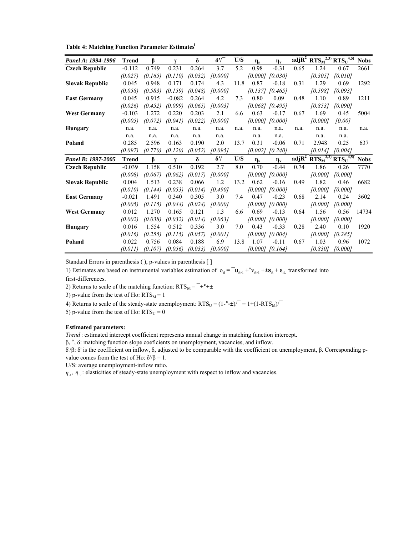Table 4: Matching Function Parameter Estimates<sup>1</sup>

| Panel A: 1994-1996     | <b>Trend</b> | ß       | γ        | δ       | $\delta'$ | U/S  | $\eta_s$ | $\eta_v$            |                   | adj $R^2$ RTS <sub>M</sub> <sup>2,3)</sup> RTS <sub>U</sub> <sup>4,5)</sup>       |         | <b>Nobs</b> |
|------------------------|--------------|---------|----------|---------|-----------|------|----------|---------------------|-------------------|-----------------------------------------------------------------------------------|---------|-------------|
| <b>Czech Republic</b>  | $-0.112$     | 0.749   | 0.231    | 0.264   | 3.7       | 5.2  | 0.98     | $-0.31$             | 0.65              | 1.24                                                                              | 0.67    | 2661        |
|                        | (0.027)      | (0.165) | (0.110)  | (0.032) | [0.000]   |      |          | $[0.000]$ $[0.030]$ |                   | [0.305]                                                                           | [0.010] |             |
| <b>Slovak Republic</b> | 0.045        | 0.948   | 0.171    | 0.174   | 4.3       | 11.8 | 0.87     | $-0.18$             | 0.31              | 1.29                                                                              | 0.69    | 1292        |
|                        | (0.058)      | (0.583) | (0.159)  | (0.048) | 10.0001   |      |          | $[0.137]$ $[0.465]$ |                   | [0.598]                                                                           | 10.0931 |             |
| <b>East Germany</b>    | 0.045        | 0.915   | $-0.082$ | 0.264   | 4.2       | 7.3  | 0.80     | 0.09                | 0.48              | 1.10                                                                              | 0.89    | 1211        |
|                        | (0.026)      | (0.452) | (0.099)  | (0.065) | 10.0031   |      |          | $[0.068]$ $[0.495]$ |                   | [0.853]                                                                           | [0.090] |             |
| <b>West Germany</b>    | $-0.103$     | 1.272   | 0.220    | 0.203   | 2.1       | 6.6  | 0.63     | $-0.17$             | 0.67              | 1.69                                                                              | 0.45    | 5004        |
|                        | (0.005)      | (0.072) | (0.041)  | (0.022) | 10.0001   |      |          | $[0.000]$ $[0.000]$ |                   | [0.000]                                                                           | [0.00]  |             |
| <b>Hungary</b>         | n.a.         | n.a.    | n.a.     | n.a.    | n.a.      | n.a. | n.a.     | n.a.                | n.a.              | n.a.                                                                              | n.a.    | n.a.        |
|                        | n.a.         | n.a.    | n.a.     | n.a.    | n.a.      |      | n.a.     | n.a.                |                   | n.a.                                                                              | n.a.    |             |
| Poland                 | 0.285        | 2.596   | 0.163    | 0.190   | 2.0       | 13.7 | 0.31     | $-0.06$             | 0.71              | 2.948                                                                             | 0.25    | 637         |
|                        | (0.097)      | (0.770) | (0.120)  | (0.052) | [0.095]   |      | [0.002]  | [0.240]             |                   | [0.014]                                                                           | [0.004] |             |
| Panel B: 1997-2005     | <b>Trend</b> | β       | $\gamma$ | δ       | $\delta'$ | U/S  | $\eta_s$ | $\eta_v$            | adjR <sup>4</sup> | $\overline{\text{RTS}_{\text{M}}^{2,3}}$ $\overline{\text{RTS}_{\text{U}}^{4,5}}$ |         | <b>Nobs</b> |
| <b>Czech Republic</b>  | $-0.039$     | 1.158   | 0.510    | 0.192   | 2.7       | 8.0  | 0.70     | $-0.44$             | 0.74              | 1.86                                                                              | 0.26    | 7770        |
|                        | (0.008)      | (0.067) | (0.062)  | (0.017) | [0.000]   |      | [0.000]  | [0.000]             |                   | [0.000]                                                                           | [0.000] |             |
| <b>Slovak Republic</b> | 0.004        | 1.513   | 0.238    | 0.066   | 1.2       | 13.2 | 0.62     | $-0.16$             | 0.49              | 1.82                                                                              | 0.46    | 6682        |
|                        | (0.010)      | (0.144) | (0.053)  | (0.014) | [0.490]   |      | [0,000]  | [0.000]             |                   | 10.0001                                                                           | [0.000] |             |
| <b>East Germany</b>    | $-0.021$     | 1.491   | 0.340    | 0.305   | 3.0       | 7.4  | 0.47     | $-0.23$             | 0.68              | 2.14                                                                              | 0.24    | 3602        |
|                        | (0.005)      | (0.115) | (0.044)  | (0.024) | [0.000]   |      |          | $[0.000]$ $[0.000]$ |                   | [0.000]                                                                           | [0.000] |             |
| <b>West Germany</b>    | 0.012        | 1.270   | 0.165    | 0.121   | 1.3       | 6.6  | 0.69     | $-0.13$             | 0.64              | 1.56                                                                              | 0.56    | 14734       |
|                        | (0.002)      | (0.038) | (0.032)  | (0.014) | 10.0631   |      |          | $[0.000]$ $[0.000]$ |                   | [0.000]                                                                           | 10,0001 |             |
| Hungary                | 0.016        | 1.554   | 0.512    | 0.336   | 3.0       | 7.0  | 0.43     | $-0.33$             | 0.28              | 2.40                                                                              | 0.10    | 1920        |
|                        | (0.016)      | (0.255) | (0.115)  | (0.057) | [0.001]   |      |          | $[0.000]$ $[0.004]$ |                   | [0.000]                                                                           | [0.285] |             |
| Poland                 | 0.022        | 0.756   | 0.084    | 0.188   | 6.9       | 13.8 | 1.07     | $-0.11$             | 0.67              | 1.03                                                                              | 0.96    | 1072        |
|                        | (0.011)      | (0.107) | (0.056)  | (0.033) | [0.000]   |      | [0.000]  | [0.164]             |                   | [0.830]                                                                           | [0.000] |             |

Standard Errors in parenthesis ( ), p-values in parenthesis [ ]

1) Estimates are based on instrumental variables estimation of  $o_{it} = \overline{u}_{it-1} + o_{v_{it-1}} + \pm s_{it} + \varepsilon_{it}$ , transformed into

first-differences.

2) Returns to scale of the matching function:  $RTS_M = \pm e^+ + \pm$ 

3) p-value from the test of Ho:  $RTS_M = 1$ 

4) Returns to scale of the steady-state unemployment:  $RTS_U = (1 - 1 - 1) = 1 + (1 - RTS_M)^{-1}$ 

5) p-value from the test of Ho:  $RTS_U = 0$ 

#### **Estimated parameters:**

*Trend* : estimated intercept coefficient represents annual change in matching function intercept.

β, °, δ: matching function slope coeficients on unemployment, vacancies, and inflow.

δ'/β: δ' is the coefficient on inflow, δ, adjusted to be comparable with the coefficient on unemployment, β. Corresponding pvalue comes from the test of Ho:  $δ'/β = 1$ .

U/S: average unemployment-inflow ratio.

*η*<sub>*s*</sub>, *η*<sub>*v*</sub>: elasticities of steady-state unemployment with respect to inflow and vacancies.